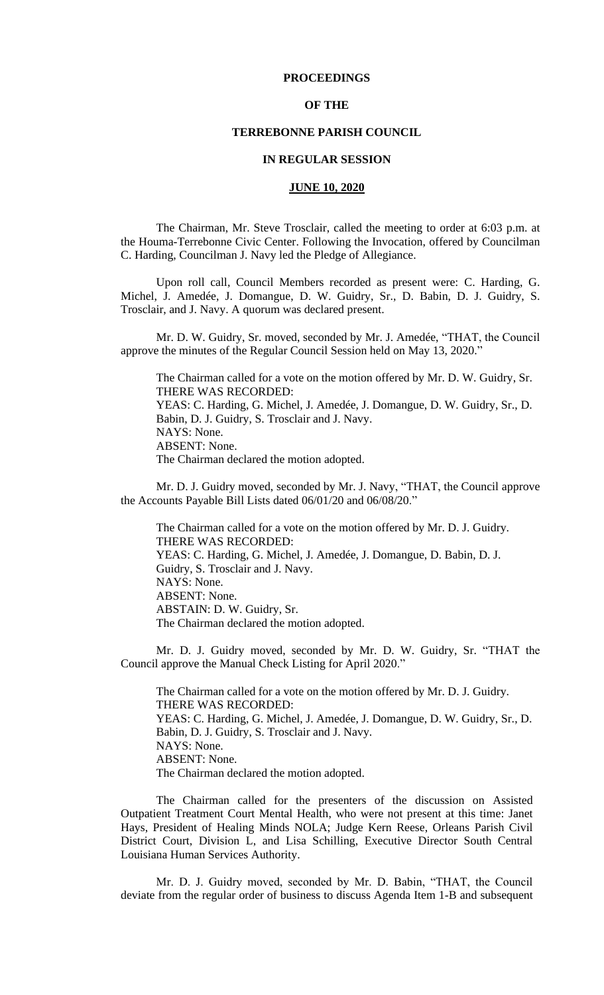## **PROCEEDINGS**

### **OF THE**

### **TERREBONNE PARISH COUNCIL**

### **IN REGULAR SESSION**

## **JUNE 10, 2020**

The Chairman, Mr. Steve Trosclair, called the meeting to order at 6:03 p.m. at the Houma-Terrebonne Civic Center. Following the Invocation, offered by Councilman C. Harding, Councilman J. Navy led the Pledge of Allegiance.

Upon roll call, Council Members recorded as present were: C. Harding, G. Michel, J. Amedée, J. Domangue, D. W. Guidry, Sr., D. Babin, D. J. Guidry, S. Trosclair, and J. Navy. A quorum was declared present.

Mr. D. W. Guidry, Sr. moved, seconded by Mr. J. Amedée, "THAT, the Council approve the minutes of the Regular Council Session held on May 13, 2020."

The Chairman called for a vote on the motion offered by Mr. D. W. Guidry, Sr. THERE WAS RECORDED: YEAS: C. Harding, G. Michel, J. Amedée, J. Domangue, D. W. Guidry, Sr., D. Babin, D. J. Guidry, S. Trosclair and J. Navy. NAYS: None. ABSENT: None. The Chairman declared the motion adopted.

Mr. D. J. Guidry moved, seconded by Mr. J. Navy, "THAT, the Council approve the Accounts Payable Bill Lists dated 06/01/20 and 06/08/20."

The Chairman called for a vote on the motion offered by Mr. D. J. Guidry. THERE WAS RECORDED: YEAS: C. Harding, G. Michel, J. Amedée, J. Domangue, D. Babin, D. J. Guidry, S. Trosclair and J. Navy. NAYS: None. ABSENT: None. ABSTAIN: D. W. Guidry, Sr. The Chairman declared the motion adopted.

Mr. D. J. Guidry moved, seconded by Mr. D. W. Guidry, Sr. "THAT the Council approve the Manual Check Listing for April 2020."

The Chairman called for a vote on the motion offered by Mr. D. J. Guidry. THERE WAS RECORDED: YEAS: C. Harding, G. Michel, J. Amedée, J. Domangue, D. W. Guidry, Sr., D. Babin, D. J. Guidry, S. Trosclair and J. Navy. NAYS: None. ABSENT: None. The Chairman declared the motion adopted.

The Chairman called for the presenters of the discussion on Assisted Outpatient Treatment Court Mental Health, who were not present at this time: Janet Hays, President of Healing Minds NOLA; Judge Kern Reese, Orleans Parish Civil District Court, Division L, and Lisa Schilling, Executive Director South Central Louisiana Human Services Authority.

Mr. D. J. Guidry moved, seconded by Mr. D. Babin, "THAT, the Council deviate from the regular order of business to discuss Agenda Item 1-B and subsequent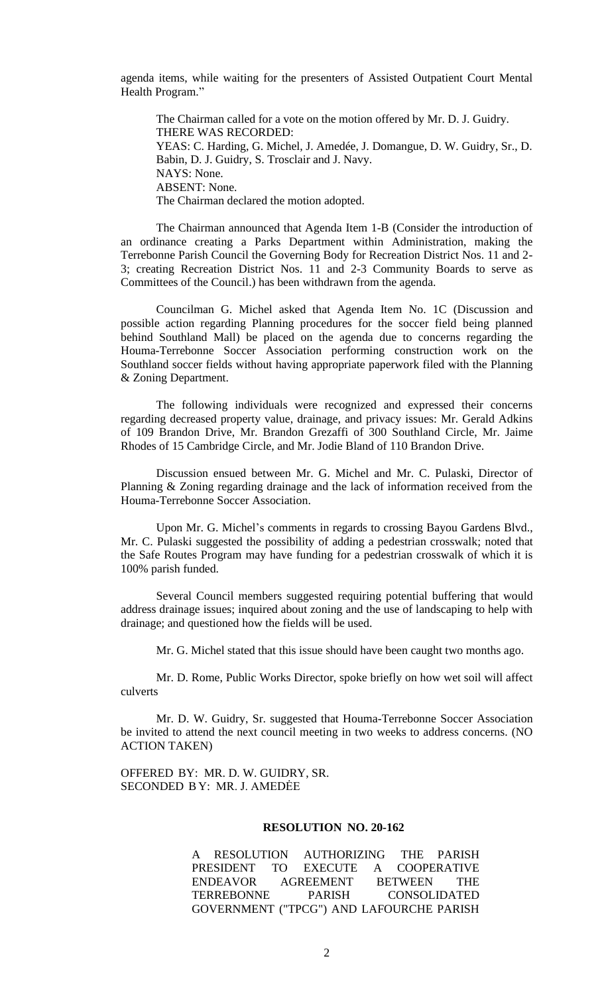agenda items, while waiting for the presenters of Assisted Outpatient Court Mental Health Program."

The Chairman called for a vote on the motion offered by Mr. D. J. Guidry. THERE WAS RECORDED: YEAS: C. Harding, G. Michel, J. Amedée, J. Domangue, D. W. Guidry, Sr., D. Babin, D. J. Guidry, S. Trosclair and J. Navy. NAYS: None. ABSENT: None. The Chairman declared the motion adopted.

The Chairman announced that Agenda Item 1-B (Consider the introduction of an ordinance creating a Parks Department within Administration, making the Terrebonne Parish Council the Governing Body for Recreation District Nos. 11 and 2- 3; creating Recreation District Nos. 11 and 2-3 Community Boards to serve as Committees of the Council.) has been withdrawn from the agenda.

Councilman G. Michel asked that Agenda Item No. 1C (Discussion and possible action regarding Planning procedures for the soccer field being planned behind Southland Mall) be placed on the agenda due to concerns regarding the Houma-Terrebonne Soccer Association performing construction work on the Southland soccer fields without having appropriate paperwork filed with the Planning & Zoning Department.

The following individuals were recognized and expressed their concerns regarding decreased property value, drainage, and privacy issues: Mr. Gerald Adkins of 109 Brandon Drive, Mr. Brandon Grezaffi of 300 Southland Circle, Mr. Jaime Rhodes of 15 Cambridge Circle, and Mr. Jodie Bland of 110 Brandon Drive.

Discussion ensued between Mr. G. Michel and Mr. C. Pulaski, Director of Planning & Zoning regarding drainage and the lack of information received from the Houma-Terrebonne Soccer Association.

Upon Mr. G. Michel's comments in regards to crossing Bayou Gardens Blvd., Mr. C. Pulaski suggested the possibility of adding a pedestrian crosswalk; noted that the Safe Routes Program may have funding for a pedestrian crosswalk of which it is 100% parish funded.

Several Council members suggested requiring potential buffering that would address drainage issues; inquired about zoning and the use of landscaping to help with drainage; and questioned how the fields will be used.

Mr. G. Michel stated that this issue should have been caught two months ago.

Mr. D. Rome, Public Works Director, spoke briefly on how wet soil will affect culverts

Mr. D. W. Guidry, Sr. suggested that Houma-Terrebonne Soccer Association be invited to attend the next council meeting in two weeks to address concerns. (NO ACTION TAKEN)

OFFERED BY: MR. D. W. GUIDRY, SR. SECONDED B Y: MR. J. AMEDĖE

## **RESOLUTION NO. 20-162**

A RESOLUTION AUTHORIZING THE PARISH PRESIDENT TO EXECUTE A COOPERATIVE ENDEAVOR AGREEMENT BETWEEN THE TERREBONNE PARISH CONSOLIDATED GOVERNMENT ("TPCG") AND LAFOURCHE PARISH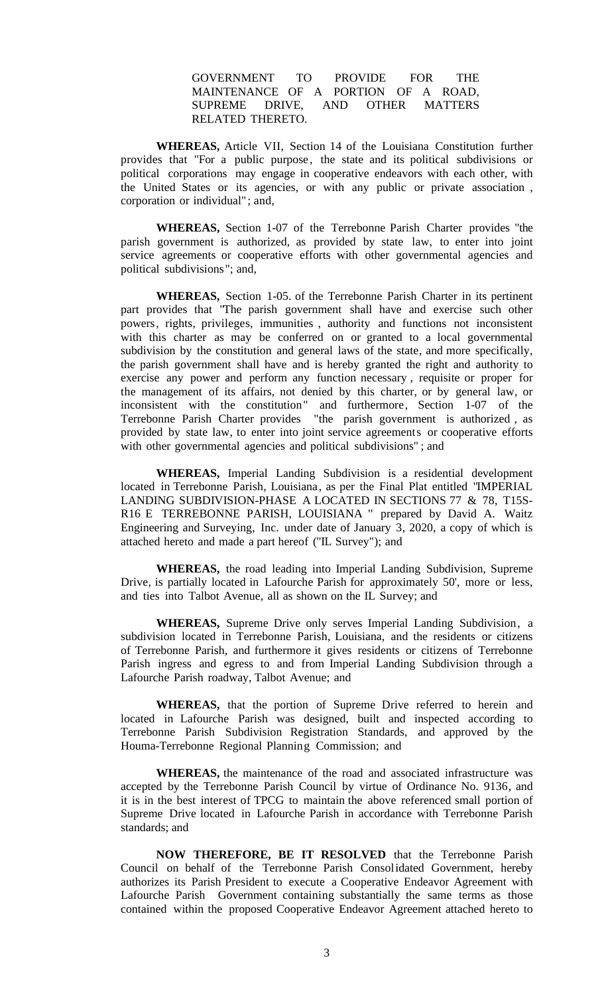## GOVERNMENT TO PROVIDE FOR THE MAINTENANCE OF A PORTION OF A ROAD, SUPREME DRIVE, AND OTHER MATTERS RELATED THERETO.

**WHEREAS,** Article VII, Section 14 of the Louisiana Constitution further provides that "For a public purpose, the state and its political subdivisions or political corporations may engage in cooperative endeavors with each other, with the United States or its agencies, or with any public or private association , corporation or individual" ; and,

**WHEREAS,** Section 1-07 of the Terrebonne Parish Charter provides "the parish government is authorized, as provided by state law, to enter into joint service agreements or cooperative efforts with other governmental agencies and political subdivisions"; and,

**WHEREAS,** Section 1-05. of the Terrebonne Parish Charter in its pertinent part provides that "The parish government shall have and exercise such other powers, rights, privileges, immunities , authority and functions not inconsistent with this charter as may be conferred on or granted to a local governmental subdivision by the constitution and general laws of the state, and more specifically, the parish government shall have and is hereby granted the right and authority to exercise any power and perform any function necessary , requisite or proper for the management of its affairs, not denied by this charter, or by general law, or inconsistent with the constitution" and furthermore, Section 1-07 of the Terrebonne Parish Charter provides "the parish government is authorized , as provided by state law, to enter into joint service agreements or cooperative efforts with other governmental agencies and political subdivisions" ; and

**WHEREAS,** Imperial Landing Subdivision is a residential development located in Terrebonne Parish, Louisiana, as per the Final Plat entitled "IMPERIAL LANDING SUBDIVISION-PHASE A LOCATED IN SECTIONS 77 & 78, T15S-R16 E TERREBONNE PARISH, LOUISIANA " prepared by David A. Waitz Engineering and Surveying, Inc. under date of January 3, 2020, a copy of which is attached hereto and made a part hereof ("IL Survey"); and

**WHEREAS,** the road leading into Imperial Landing Subdivision, Supreme Drive, is partially located in Lafourche Parish for approximately 50', more or less, and ties into Talbot Avenue, all as shown on the IL Survey; and

**WHEREAS,** Supreme Drive only serves Imperial Landing Subdivision, a subdivision located in Terrebonne Parish, Louisiana, and the residents or citizens of Terrebonne Parish, and furthermore it gives residents or citizens of Terrebonne Parish ingress and egress to and from Imperial Landing Subdivision through a Lafourche Parish roadway, Talbot Avenue; and

**WHEREAS,** that the portion of Supreme Drive referred to herein and located in Lafourche Parish was designed, built and inspected according to Terrebonne Parish Subdivision Registration Standards, and approved by the Houma-Terrebonne Regional Planning Commission; and

**WHEREAS,** the maintenance of the road and associated infrastructure was accepted by the Terrebonne Parish Council by virtue of Ordinance No. 9136, and it is in the best interest of TPCG to maintain the above referenced small portion of Supreme Drive located in Lafourche Parish in accordance with Terrebonne Parish standards; and

**NOW THEREFORE, BE IT RESOLVED** that the Terrebonne Parish Council on behalf of the Terrebonne Parish Consolidated Government, hereby authorizes its Parish President to execute a Cooperative Endeavor Agreement with Lafourche Parish Government containing substantially the same terms as those contained within the proposed Cooperative Endeavor Agreement attached hereto to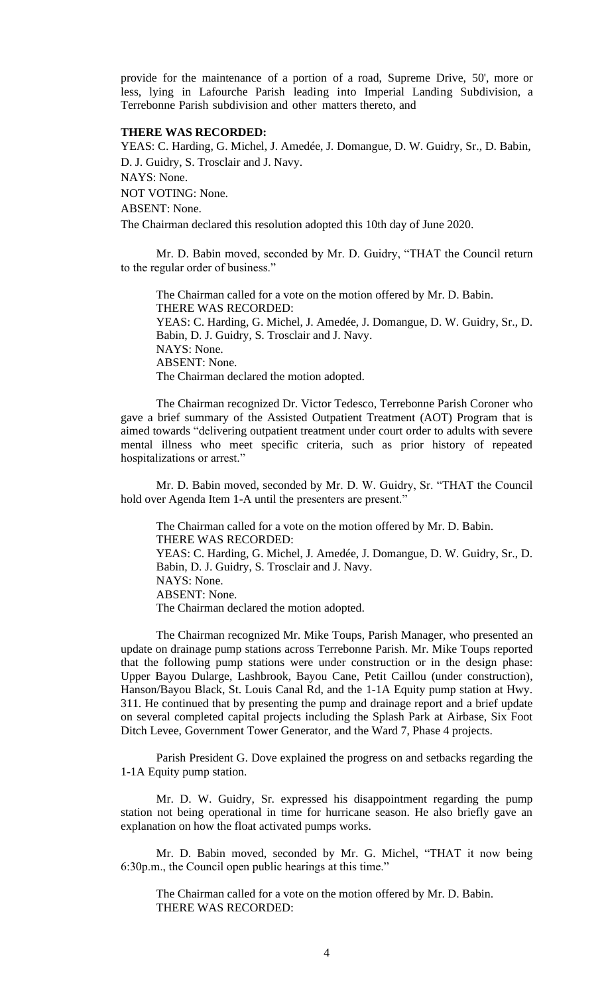provide for the maintenance of a portion of a road, Supreme Drive, 50', more or less, lying in Lafourche Parish leading into Imperial Landing Subdivision, a Terrebonne Parish subdivision and other matters thereto, and

### **THERE WAS RECORDED:**

YEAS: C. Harding, G. Michel, J. Amedée, J. Domangue, D. W. Guidry, Sr., D. Babin, D. J. Guidry, S. Trosclair and J. Navy.

NAYS: None.

NOT VOTING: None.

ABSENT: None.

The Chairman declared this resolution adopted this 10th day of June 2020.

Mr. D. Babin moved, seconded by Mr. D. Guidry, "THAT the Council return to the regular order of business."

The Chairman called for a vote on the motion offered by Mr. D. Babin. THERE WAS RECORDED: YEAS: C. Harding, G. Michel, J. Amedée, J. Domangue, D. W. Guidry, Sr., D. Babin, D. J. Guidry, S. Trosclair and J. Navy. NAYS: None. ABSENT: None. The Chairman declared the motion adopted.

The Chairman recognized Dr. Victor Tedesco, Terrebonne Parish Coroner who gave a brief summary of the Assisted Outpatient Treatment (AOT) Program that is aimed towards "delivering outpatient treatment under court order to adults with severe mental illness who meet specific criteria, such as prior history of repeated hospitalizations or arrest."

Mr. D. Babin moved, seconded by Mr. D. W. Guidry, Sr. "THAT the Council hold over Agenda Item 1-A until the presenters are present."

The Chairman called for a vote on the motion offered by Mr. D. Babin. THERE WAS RECORDED: YEAS: C. Harding, G. Michel, J. Amedée, J. Domangue, D. W. Guidry, Sr., D. Babin, D. J. Guidry, S. Trosclair and J. Navy. NAYS: None. ABSENT: None. The Chairman declared the motion adopted.

The Chairman recognized Mr. Mike Toups, Parish Manager, who presented an update on drainage pump stations across Terrebonne Parish. Mr. Mike Toups reported that the following pump stations were under construction or in the design phase: Upper Bayou Dularge, Lashbrook, Bayou Cane, Petit Caillou (under construction), Hanson/Bayou Black, St. Louis Canal Rd, and the 1-1A Equity pump station at Hwy. 311. He continued that by presenting the pump and drainage report and a brief update on several completed capital projects including the Splash Park at Airbase, Six Foot Ditch Levee, Government Tower Generator, and the Ward 7, Phase 4 projects.

Parish President G. Dove explained the progress on and setbacks regarding the 1-1A Equity pump station.

Mr. D. W. Guidry, Sr. expressed his disappointment regarding the pump station not being operational in time for hurricane season. He also briefly gave an explanation on how the float activated pumps works.

Mr. D. Babin moved, seconded by Mr. G. Michel, "THAT it now being 6:30p.m., the Council open public hearings at this time."

The Chairman called for a vote on the motion offered by Mr. D. Babin. THERE WAS RECORDED: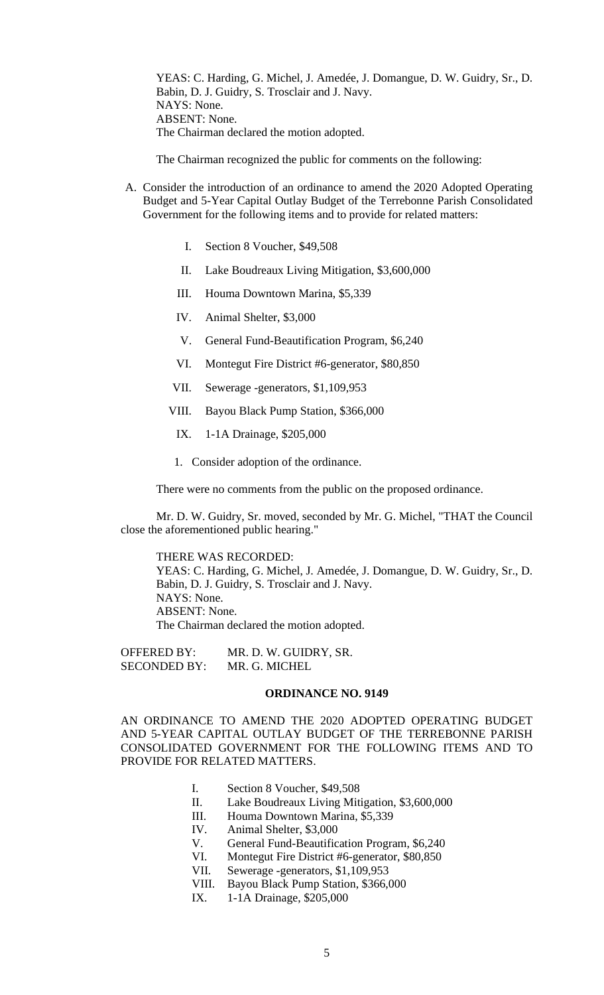YEAS: C. Harding, G. Michel, J. Amedée, J. Domangue, D. W. Guidry, Sr., D. Babin, D. J. Guidry, S. Trosclair and J. Navy. NAYS: None. ABSENT: None. The Chairman declared the motion adopted.

The Chairman recognized the public for comments on the following:

- A. [Consider the introduction of an ordinance to amend the 2020 Adopted Operating](https://terrebonneparish.novusagenda.com/AgendaWeb/CoverSheet.aspx?ItemID=26202&MeetingID=2027)  [Budget and 5-Year Capital Outlay Budget of the Terrebonne Parish Consolidated](https://terrebonneparish.novusagenda.com/AgendaWeb/CoverSheet.aspx?ItemID=26202&MeetingID=2027)  [Government for the following items and to provide for related matters:](https://terrebonneparish.novusagenda.com/AgendaWeb/CoverSheet.aspx?ItemID=26202&MeetingID=2027)
	- I. [Section 8 Voucher, \\$49,508](https://terrebonneparish.novusagenda.com/AgendaWeb/CoverSheet.aspx?ItemID=26202&MeetingID=2027)
	- II. [Lake Boudreaux Living Mitigation, \\$3,600,000](https://terrebonneparish.novusagenda.com/AgendaWeb/CoverSheet.aspx?ItemID=26202&MeetingID=2027)
	- III. [Houma Downtown Marina, \\$5,339](https://terrebonneparish.novusagenda.com/AgendaWeb/CoverSheet.aspx?ItemID=26202&MeetingID=2027)
	- IV. [Animal Shelter, \\$3,000](https://terrebonneparish.novusagenda.com/AgendaWeb/CoverSheet.aspx?ItemID=26202&MeetingID=2027)
	- V. [General Fund-Beautification Program, \\$6,240](https://terrebonneparish.novusagenda.com/AgendaWeb/CoverSheet.aspx?ItemID=26202&MeetingID=2027)
	- VI. [Montegut Fire District #6-generator, \\$80,850](https://terrebonneparish.novusagenda.com/AgendaWeb/CoverSheet.aspx?ItemID=26202&MeetingID=2027)
	- VII. [Sewerage -generators, \\$1,109,953](https://terrebonneparish.novusagenda.com/AgendaWeb/CoverSheet.aspx?ItemID=26202&MeetingID=2027)
	- VIII. [Bayou Black Pump Station, \\$366,000](https://terrebonneparish.novusagenda.com/AgendaWeb/CoverSheet.aspx?ItemID=26202&MeetingID=2027)
	- IX. [1-1A Drainage, \\$205,000](https://terrebonneparish.novusagenda.com/AgendaWeb/CoverSheet.aspx?ItemID=26202&MeetingID=2027)
	- 1. Consider adoption of the ordinance.

There were no comments from the public on the proposed ordinance.

Mr. D. W. Guidry, Sr. moved, seconded by Mr. G. Michel, "THAT the Council close the aforementioned public hearing."

THERE WAS RECORDED:

YEAS: C. Harding, G. Michel, J. Amedée, J. Domangue, D. W. Guidry, Sr., D. Babin, D. J. Guidry, S. Trosclair and J. Navy. NAYS: None. ABSENT: None. The Chairman declared the motion adopted.

OFFERED BY: MR. D. W. GUIDRY, SR. SECONDED BY: MR. G. MICHEL

#### **ORDINANCE NO. 9149**

AN ORDINANCE TO AMEND THE 2020 ADOPTED OPERATING BUDGET AND 5-YEAR CAPITAL OUTLAY BUDGET OF THE TERREBONNE PARISH CONSOLIDATED GOVERNMENT FOR THE FOLLOWING ITEMS AND TO PROVIDE FOR RELATED MATTERS.

- I. Section 8 Voucher, \$49,508
- II. Lake Boudreaux Living Mitigation, \$3,600,000
- III. Houma Downtown Marina, \$5,339
- IV. Animal Shelter, \$3,000
- V. General Fund-Beautification Program, \$6,240
- VI. Montegut Fire District #6-generator, \$80,850
- VII. Sewerage -generators, \$1,109,953
- VIII. Bayou Black Pump Station, \$366,000
- IX. 1-1A Drainage, \$205,000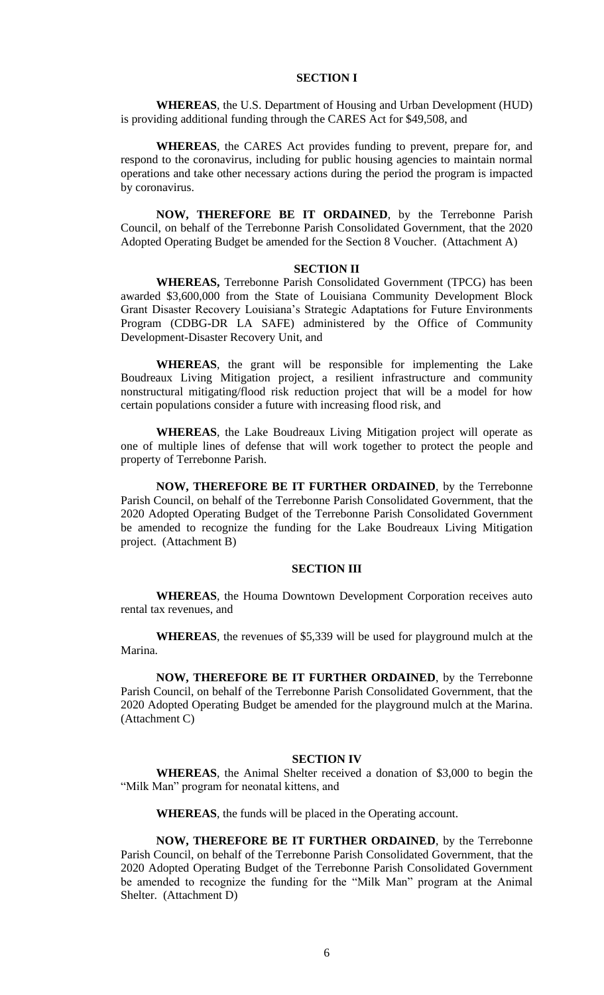### **SECTION I**

**WHEREAS**, the U.S. Department of Housing and Urban Development (HUD) is providing additional funding through the CARES Act for \$49,508, and

**WHEREAS**, the CARES Act provides funding to prevent, prepare for, and respond to the coronavirus, including for public housing agencies to maintain normal operations and take other necessary actions during the period the program is impacted by coronavirus.

**NOW, THEREFORE BE IT ORDAINED**, by the Terrebonne Parish Council, on behalf of the Terrebonne Parish Consolidated Government, that the 2020 Adopted Operating Budget be amended for the Section 8 Voucher. (Attachment A)

#### **SECTION II**

**WHEREAS,** Terrebonne Parish Consolidated Government (TPCG) has been awarded \$3,600,000 from the State of Louisiana Community Development Block Grant Disaster Recovery Louisiana's Strategic Adaptations for Future Environments Program (CDBG-DR LA SAFE) administered by the Office of Community Development-Disaster Recovery Unit, and

**WHEREAS**, the grant will be responsible for implementing the Lake Boudreaux Living Mitigation project, a resilient infrastructure and community nonstructural mitigating/flood risk reduction project that will be a model for how certain populations consider a future with increasing flood risk, and

**WHEREAS**, the Lake Boudreaux Living Mitigation project will operate as one of multiple lines of defense that will work together to protect the people and property of Terrebonne Parish.

**NOW, THEREFORE BE IT FURTHER ORDAINED**, by the Terrebonne Parish Council, on behalf of the Terrebonne Parish Consolidated Government, that the 2020 Adopted Operating Budget of the Terrebonne Parish Consolidated Government be amended to recognize the funding for the Lake Boudreaux Living Mitigation project. (Attachment B)

### **SECTION III**

**WHEREAS**, the Houma Downtown Development Corporation receives auto rental tax revenues, and

**WHEREAS**, the revenues of \$5,339 will be used for playground mulch at the Marina.

**NOW, THEREFORE BE IT FURTHER ORDAINED**, by the Terrebonne Parish Council, on behalf of the Terrebonne Parish Consolidated Government, that the 2020 Adopted Operating Budget be amended for the playground mulch at the Marina. (Attachment C)

#### **SECTION IV**

**WHEREAS**, the Animal Shelter received a donation of \$3,000 to begin the "Milk Man" program for neonatal kittens, and

**WHEREAS**, the funds will be placed in the Operating account.

**NOW, THEREFORE BE IT FURTHER ORDAINED**, by the Terrebonne Parish Council, on behalf of the Terrebonne Parish Consolidated Government, that the 2020 Adopted Operating Budget of the Terrebonne Parish Consolidated Government be amended to recognize the funding for the "Milk Man" program at the Animal Shelter. (Attachment D)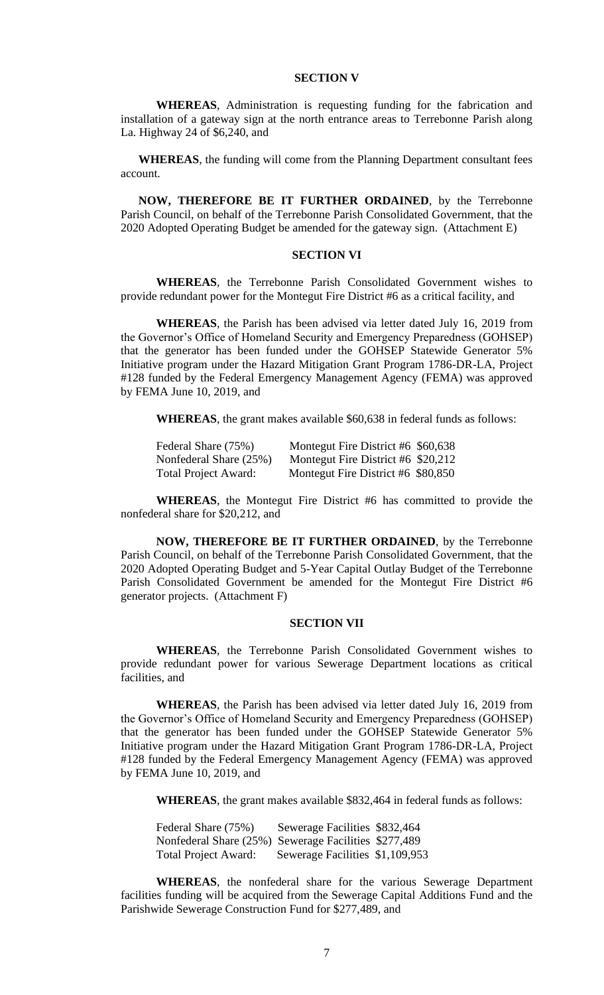## **SECTION V**

**WHEREAS**, Administration is requesting funding for the fabrication and installation of a gateway sign at the north entrance areas to Terrebonne Parish along La. Highway 24 of \$6,240, and

**WHEREAS**, the funding will come from the Planning Department consultant fees account.

**NOW, THEREFORE BE IT FURTHER ORDAINED**, by the Terrebonne Parish Council, on behalf of the Terrebonne Parish Consolidated Government, that the 2020 Adopted Operating Budget be amended for the gateway sign. (Attachment E)

## **SECTION VI**

**WHEREAS**, the Terrebonne Parish Consolidated Government wishes to provide redundant power for the Montegut Fire District #6 as a critical facility, and

**WHEREAS**, the Parish has been advised via letter dated July 16, 2019 from the Governor's Office of Homeland Security and Emergency Preparedness (GOHSEP) that the generator has been funded under the GOHSEP Statewide Generator 5% Initiative program under the Hazard Mitigation Grant Program 1786-DR-LA, Project #128 funded by the Federal Emergency Management Agency (FEMA) was approved by FEMA June 10, 2019, and

**WHEREAS**, the grant makes available \$60,638 in federal funds as follows:

| Federal Share (75%)         | Montegut Fire District #6 \$60,638 |  |
|-----------------------------|------------------------------------|--|
| Nonfederal Share (25%)      | Montegut Fire District #6 \$20,212 |  |
| <b>Total Project Award:</b> | Montegut Fire District #6 \$80,850 |  |

**WHEREAS**, the Montegut Fire District #6 has committed to provide the nonfederal share for \$20,212, and

**NOW, THEREFORE BE IT FURTHER ORDAINED**, by the Terrebonne Parish Council, on behalf of the Terrebonne Parish Consolidated Government, that the 2020 Adopted Operating Budget and 5-Year Capital Outlay Budget of the Terrebonne Parish Consolidated Government be amended for the Montegut Fire District #6 generator projects. (Attachment F)

#### **SECTION VII**

**WHEREAS**, the Terrebonne Parish Consolidated Government wishes to provide redundant power for various Sewerage Department locations as critical facilities, and

**WHEREAS**, the Parish has been advised via letter dated July 16, 2019 from the Governor's Office of Homeland Security and Emergency Preparedness (GOHSEP) that the generator has been funded under the GOHSEP Statewide Generator 5% Initiative program under the Hazard Mitigation Grant Program 1786-DR-LA, Project #128 funded by the Federal Emergency Management Agency (FEMA) was approved by FEMA June 10, 2019, and

**WHEREAS**, the grant makes available \$832,464 in federal funds as follows:

Federal Share (75%) Sewerage Facilities \$832,464 Nonfederal Share (25%) Sewerage Facilities \$277,489 Total Project Award: Sewerage Facilities \$1,109,953

**WHEREAS**, the nonfederal share for the various Sewerage Department facilities funding will be acquired from the Sewerage Capital Additions Fund and the Parishwide Sewerage Construction Fund for \$277,489, and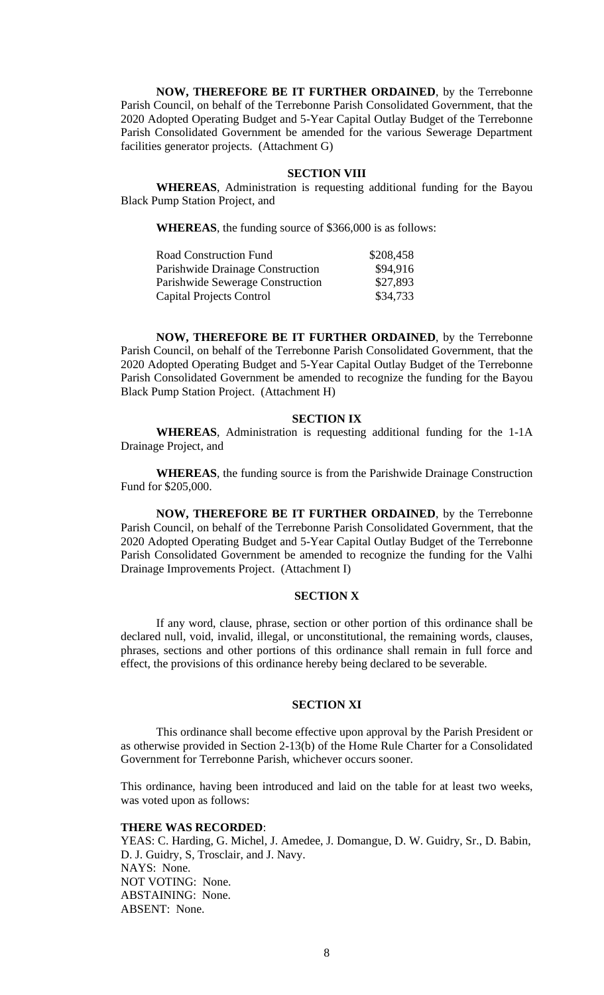**NOW, THEREFORE BE IT FURTHER ORDAINED**, by the Terrebonne Parish Council, on behalf of the Terrebonne Parish Consolidated Government, that the 2020 Adopted Operating Budget and 5-Year Capital Outlay Budget of the Terrebonne Parish Consolidated Government be amended for the various Sewerage Department facilities generator projects. (Attachment G)

### **SECTION VIII**

**WHEREAS**, Administration is requesting additional funding for the Bayou Black Pump Station Project, and

**WHEREAS**, the funding source of \$366,000 is as follows:

| <b>Road Construction Fund</b>    | \$208,458 |
|----------------------------------|-----------|
| Parishwide Drainage Construction | \$94,916  |
| Parishwide Sewerage Construction | \$27,893  |
| Capital Projects Control         | \$34,733  |

**NOW, THEREFORE BE IT FURTHER ORDAINED**, by the Terrebonne Parish Council, on behalf of the Terrebonne Parish Consolidated Government, that the 2020 Adopted Operating Budget and 5-Year Capital Outlay Budget of the Terrebonne Parish Consolidated Government be amended to recognize the funding for the Bayou Black Pump Station Project. (Attachment H)

#### **SECTION IX**

**WHEREAS**, Administration is requesting additional funding for the 1-1A Drainage Project, and

**WHEREAS**, the funding source is from the Parishwide Drainage Construction Fund for \$205,000.

**NOW, THEREFORE BE IT FURTHER ORDAINED**, by the Terrebonne Parish Council, on behalf of the Terrebonne Parish Consolidated Government, that the 2020 Adopted Operating Budget and 5-Year Capital Outlay Budget of the Terrebonne Parish Consolidated Government be amended to recognize the funding for the Valhi Drainage Improvements Project. (Attachment I)

## **SECTION X**

If any word, clause, phrase, section or other portion of this ordinance shall be declared null, void, invalid, illegal, or unconstitutional, the remaining words, clauses, phrases, sections and other portions of this ordinance shall remain in full force and effect, the provisions of this ordinance hereby being declared to be severable.

### **SECTION XI**

This ordinance shall become effective upon approval by the Parish President or as otherwise provided in Section 2-13(b) of the Home Rule Charter for a Consolidated Government for Terrebonne Parish, whichever occurs sooner.

This ordinance, having been introduced and laid on the table for at least two weeks, was voted upon as follows:

## **THERE WAS RECORDED**:

YEAS: C. Harding, G. Michel, J. Amedee, J. Domangue, D. W. Guidry, Sr., D. Babin, D. J. Guidry, S, Trosclair, and J. Navy. NAYS: None. NOT VOTING: None. ABSTAINING: None. ABSENT: None.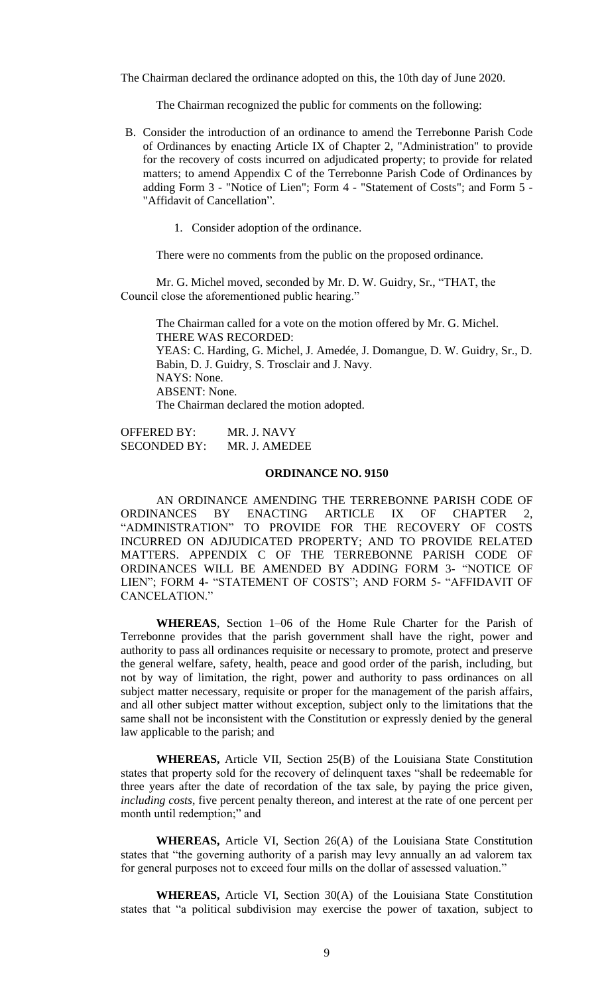The Chairman declared the ordinance adopted on this, the 10th day of June 2020.

The Chairman recognized the public for comments on the following:

- B. [Consider the introduction of an ordinance to amend the Terrebonne Parish Code](https://terrebonneparish.novusagenda.com/AgendaWeb/CoverSheet.aspx?ItemID=26236&MeetingID=1967)  [of Ordinances by enacting Article IX of Chapter 2, "Administration" to provide](https://terrebonneparish.novusagenda.com/AgendaWeb/CoverSheet.aspx?ItemID=26236&MeetingID=1967)  [for the recovery of costs incurred on adjudicated property; to provide for related](https://terrebonneparish.novusagenda.com/AgendaWeb/CoverSheet.aspx?ItemID=26236&MeetingID=1967)  [matters; to amend Appendix C of the Terrebonne Parish Code of Ordinances by](https://terrebonneparish.novusagenda.com/AgendaWeb/CoverSheet.aspx?ItemID=26236&MeetingID=1967)  adding Form 3 - "Notice of Lien"; Form 4 - ["Statement of Costs"; and Form 5 -](https://terrebonneparish.novusagenda.com/AgendaWeb/CoverSheet.aspx?ItemID=26236&MeetingID=1967) ["Affidavit of Cancellation".](https://terrebonneparish.novusagenda.com/AgendaWeb/CoverSheet.aspx?ItemID=26236&MeetingID=1967)
	- 1. Consider adoption of the ordinance.

There were no comments from the public on the proposed ordinance.

Mr. G. Michel moved, seconded by Mr. D. W. Guidry, Sr., "THAT, the Council close the aforementioned public hearing."

The Chairman called for a vote on the motion offered by Mr. G. Michel. THERE WAS RECORDED: YEAS: C. Harding, G. Michel, J. Amedée, J. Domangue, D. W. Guidry, Sr., D. Babin, D. J. Guidry, S. Trosclair and J. Navy. NAYS: None. ABSENT: None. The Chairman declared the motion adopted.

OFFERED BY: MR. J. NAVY SECONDED BY: MR. J. AMEDEE

### **ORDINANCE NO. 9150**

AN ORDINANCE AMENDING THE TERREBONNE PARISH CODE OF ORDINANCES BY ENACTING ARTICLE IX OF CHAPTER 2, "ADMINISTRATION" TO PROVIDE FOR THE RECOVERY OF COSTS INCURRED ON ADJUDICATED PROPERTY; AND TO PROVIDE RELATED MATTERS. APPENDIX C OF THE TERREBONNE PARISH CODE OF ORDINANCES WILL BE AMENDED BY ADDING FORM 3- "NOTICE OF LIEN"; FORM 4- "STATEMENT OF COSTS"; AND FORM 5- "AFFIDAVIT OF CANCELATION."

**WHEREAS**, Section 1–06 of the Home Rule Charter for the Parish of Terrebonne provides that the parish government shall have the right, power and authority to pass all ordinances requisite or necessary to promote, protect and preserve the general welfare, safety, health, peace and good order of the parish, including, but not by way of limitation, the right, power and authority to pass ordinances on all subject matter necessary, requisite or proper for the management of the parish affairs, and all other subject matter without exception, subject only to the limitations that the same shall not be inconsistent with the Constitution or expressly denied by the general law applicable to the parish; and

**WHEREAS,** Article VII, Section 25(B) of the Louisiana State Constitution states that property sold for the recovery of delinquent taxes "shall be redeemable for three years after the date of recordation of the tax sale, by paying the price given, *including costs*, five percent penalty thereon, and interest at the rate of one percent per month until redemption;" and

**WHEREAS,** Article VI, Section 26(A) of the Louisiana State Constitution states that "the governing authority of a parish may levy annually an ad valorem tax for general purposes not to exceed four mills on the dollar of assessed valuation."

**WHEREAS,** Article VI, Section 30(A) of the Louisiana State Constitution states that "a political subdivision may exercise the power of taxation, subject to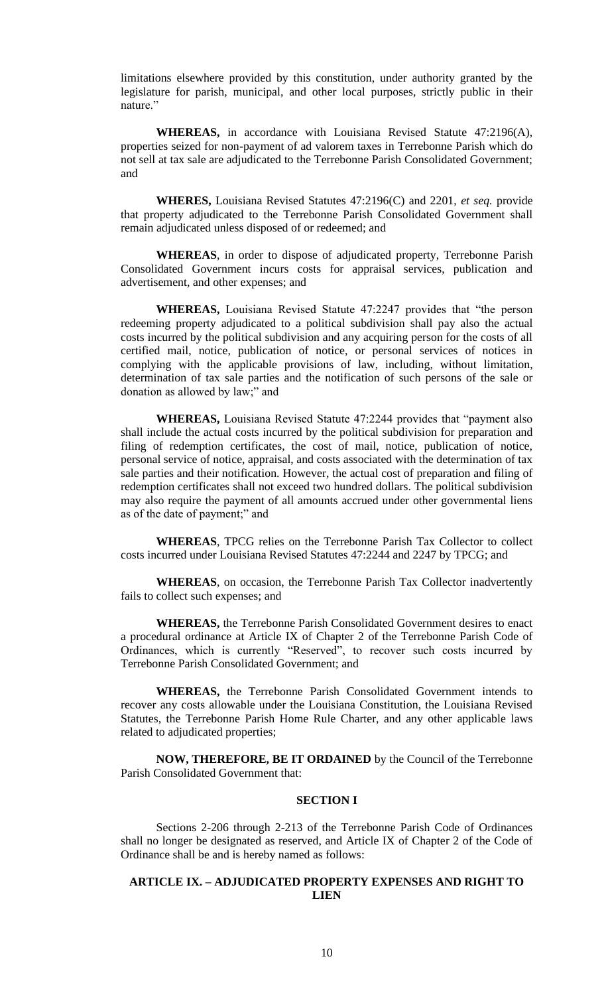limitations elsewhere provided by this constitution, under authority granted by the legislature for parish, municipal, and other local purposes, strictly public in their nature."

**WHEREAS,** in accordance with Louisiana Revised Statute 47:2196(A), properties seized for non-payment of ad valorem taxes in Terrebonne Parish which do not sell at tax sale are adjudicated to the Terrebonne Parish Consolidated Government; and

**WHERES,** Louisiana Revised Statutes 47:2196(C) and 2201, *et seq.* provide that property adjudicated to the Terrebonne Parish Consolidated Government shall remain adjudicated unless disposed of or redeemed; and

**WHEREAS**, in order to dispose of adjudicated property, Terrebonne Parish Consolidated Government incurs costs for appraisal services, publication and advertisement, and other expenses; and

**WHEREAS,** Louisiana Revised Statute 47:2247 provides that "the person redeeming property adjudicated to a political subdivision shall pay also the actual costs incurred by the political subdivision and any acquiring person for the costs of all certified mail, notice, publication of notice, or personal services of notices in complying with the applicable provisions of law, including, without limitation, determination of tax sale parties and the notification of such persons of the sale or donation as allowed by law;" and

**WHEREAS,** Louisiana Revised Statute 47:2244 provides that "payment also shall include the actual costs incurred by the political subdivision for preparation and filing of redemption certificates, the cost of mail, notice, publication of notice, personal service of notice, appraisal, and costs associated with the determination of tax sale parties and their notification. However, the actual cost of preparation and filing of redemption certificates shall not exceed two hundred dollars. The political subdivision may also require the payment of all amounts accrued under other governmental liens as of the date of payment;" and

**WHEREAS**, TPCG relies on the Terrebonne Parish Tax Collector to collect costs incurred under Louisiana Revised Statutes 47:2244 and 2247 by TPCG; and

**WHEREAS**, on occasion, the Terrebonne Parish Tax Collector inadvertently fails to collect such expenses; and

**WHEREAS,** the Terrebonne Parish Consolidated Government desires to enact a procedural ordinance at Article IX of Chapter 2 of the Terrebonne Parish Code of Ordinances, which is currently "Reserved", to recover such costs incurred by Terrebonne Parish Consolidated Government; and

**WHEREAS,** the Terrebonne Parish Consolidated Government intends to recover any costs allowable under the Louisiana Constitution, the Louisiana Revised Statutes, the Terrebonne Parish Home Rule Charter, and any other applicable laws related to adjudicated properties;

**NOW, THEREFORE, BE IT ORDAINED** by the Council of the Terrebonne Parish Consolidated Government that:

## **SECTION I**

Sections 2-206 through 2-213 of the Terrebonne Parish Code of Ordinances shall no longer be designated as reserved, and Article IX of Chapter 2 of the Code of Ordinance shall be and is hereby named as follows:

## **ARTICLE IX. – ADJUDICATED PROPERTY EXPENSES AND RIGHT TO LIEN**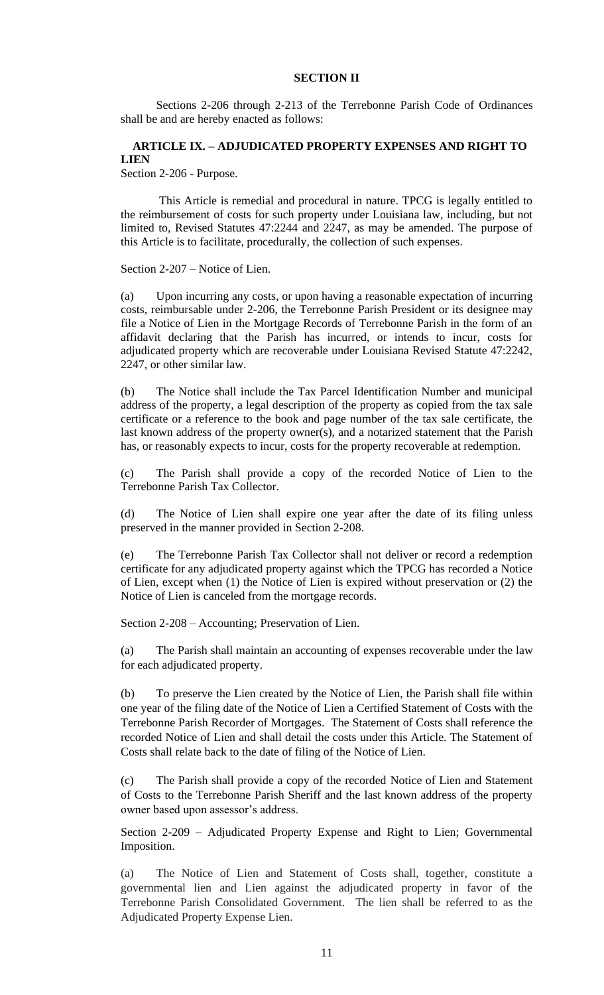## **SECTION II**

Sections 2-206 through 2-213 of the Terrebonne Parish Code of Ordinances shall be and are hereby enacted as follows:

# **ARTICLE IX. – ADJUDICATED PROPERTY EXPENSES AND RIGHT TO LIEN**

Section 2-206 - Purpose.

This Article is remedial and procedural in nature. TPCG is legally entitled to the reimbursement of costs for such property under Louisiana law, including, but not limited to, Revised Statutes 47:2244 and 2247, as may be amended. The purpose of this Article is to facilitate, procedurally, the collection of such expenses.

Section 2-207 – Notice of Lien.

(a) Upon incurring any costs, or upon having a reasonable expectation of incurring costs, reimbursable under 2-206, the Terrebonne Parish President or its designee may file a Notice of Lien in the Mortgage Records of Terrebonne Parish in the form of an affidavit declaring that the Parish has incurred, or intends to incur, costs for adjudicated property which are recoverable under Louisiana Revised Statute 47:2242, 2247, or other similar law.

(b) The Notice shall include the Tax Parcel Identification Number and municipal address of the property, a legal description of the property as copied from the tax sale certificate or a reference to the book and page number of the tax sale certificate, the last known address of the property owner(s), and a notarized statement that the Parish has, or reasonably expects to incur, costs for the property recoverable at redemption.

(c) The Parish shall provide a copy of the recorded Notice of Lien to the Terrebonne Parish Tax Collector.

(d) The Notice of Lien shall expire one year after the date of its filing unless preserved in the manner provided in Section 2-208.

(e) The Terrebonne Parish Tax Collector shall not deliver or record a redemption certificate for any adjudicated property against which the TPCG has recorded a Notice of Lien, except when (1) the Notice of Lien is expired without preservation or (2) the Notice of Lien is canceled from the mortgage records.

Section 2-208 – Accounting; Preservation of Lien.

(a) The Parish shall maintain an accounting of expenses recoverable under the law for each adjudicated property.

(b) To preserve the Lien created by the Notice of Lien, the Parish shall file within one year of the filing date of the Notice of Lien a Certified Statement of Costs with the Terrebonne Parish Recorder of Mortgages. The Statement of Costs shall reference the recorded Notice of Lien and shall detail the costs under this Article. The Statement of Costs shall relate back to the date of filing of the Notice of Lien.

(c) The Parish shall provide a copy of the recorded Notice of Lien and Statement of Costs to the Terrebonne Parish Sheriff and the last known address of the property owner based upon assessor's address.

Section 2-209 – Adjudicated Property Expense and Right to Lien; Governmental Imposition.

(a) The Notice of Lien and Statement of Costs shall, together, constitute a governmental lien and Lien against the adjudicated property in favor of the Terrebonne Parish Consolidated Government. The lien shall be referred to as the Adjudicated Property Expense Lien.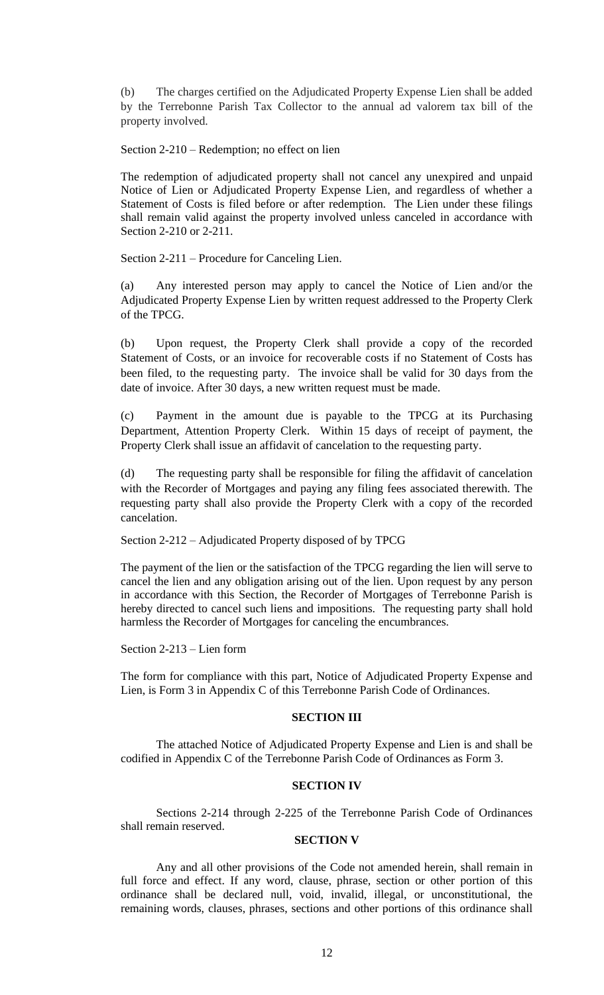(b) The charges certified on the Adjudicated Property Expense Lien shall be added by the Terrebonne Parish Tax Collector to the annual ad valorem tax bill of the property involved.

Section 2-210 – Redemption; no effect on lien

The redemption of adjudicated property shall not cancel any unexpired and unpaid Notice of Lien or Adjudicated Property Expense Lien, and regardless of whether a Statement of Costs is filed before or after redemption. The Lien under these filings shall remain valid against the property involved unless canceled in accordance with Section 2-210 or 2-211.

Section 2-211 – Procedure for Canceling Lien.

(a) Any interested person may apply to cancel the Notice of Lien and/or the Adjudicated Property Expense Lien by written request addressed to the Property Clerk of the TPCG.

(b) Upon request, the Property Clerk shall provide a copy of the recorded Statement of Costs, or an invoice for recoverable costs if no Statement of Costs has been filed, to the requesting party. The invoice shall be valid for 30 days from the date of invoice. After 30 days, a new written request must be made.

(c) Payment in the amount due is payable to the TPCG at its Purchasing Department, Attention Property Clerk. Within 15 days of receipt of payment, the Property Clerk shall issue an affidavit of cancelation to the requesting party.

(d) The requesting party shall be responsible for filing the affidavit of cancelation with the Recorder of Mortgages and paying any filing fees associated therewith. The requesting party shall also provide the Property Clerk with a copy of the recorded cancelation.

Section 2-212 – Adjudicated Property disposed of by TPCG

The payment of the lien or the satisfaction of the TPCG regarding the lien will serve to cancel the lien and any obligation arising out of the lien. Upon request by any person in accordance with this Section, the Recorder of Mortgages of Terrebonne Parish is hereby directed to cancel such liens and impositions. The requesting party shall hold harmless the Recorder of Mortgages for canceling the encumbrances.

Section 2-213 – Lien form

The form for compliance with this part, Notice of Adjudicated Property Expense and Lien, is Form 3 in Appendix C of this Terrebonne Parish Code of Ordinances.

## **SECTION III**

The attached Notice of Adjudicated Property Expense and Lien is and shall be codified in Appendix C of the Terrebonne Parish Code of Ordinances as Form 3.

## **SECTION IV**

Sections 2-214 through 2-225 of the Terrebonne Parish Code of Ordinances shall remain reserved.

# **SECTION V**

Any and all other provisions of the Code not amended herein, shall remain in full force and effect. If any word, clause, phrase, section or other portion of this ordinance shall be declared null, void, invalid, illegal, or unconstitutional, the remaining words, clauses, phrases, sections and other portions of this ordinance shall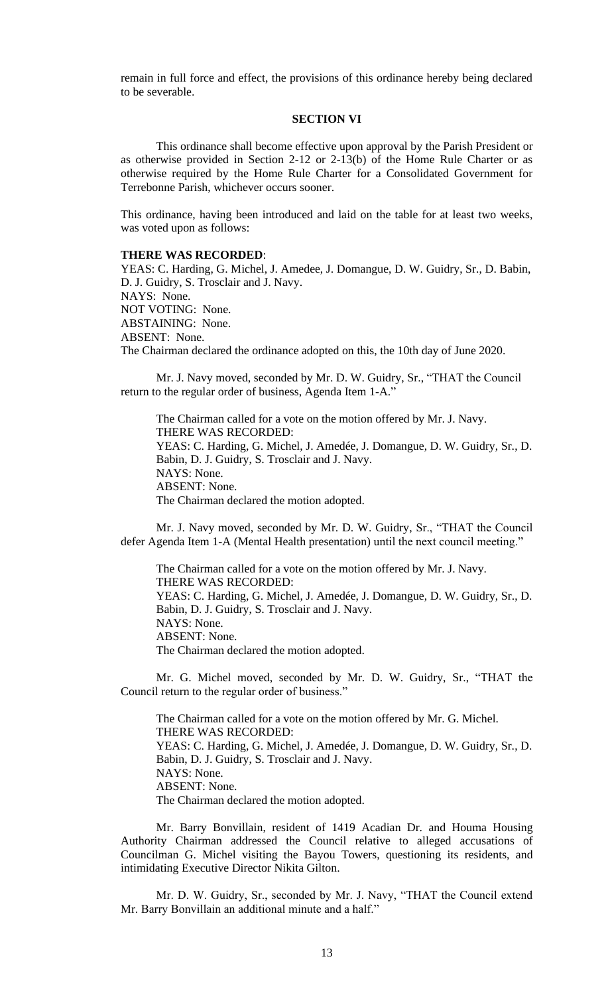remain in full force and effect, the provisions of this ordinance hereby being declared to be severable.

### **SECTION VI**

This ordinance shall become effective upon approval by the Parish President or as otherwise provided in Section 2-12 or 2-13(b) of the Home Rule Charter or as otherwise required by the Home Rule Charter for a Consolidated Government for Terrebonne Parish, whichever occurs sooner.

This ordinance, having been introduced and laid on the table for at least two weeks, was voted upon as follows:

#### **THERE WAS RECORDED**:

YEAS: C. Harding, G. Michel, J. Amedee, J. Domangue, D. W. Guidry, Sr., D. Babin, D. J. Guidry, S. Trosclair and J. Navy. NAYS: None. NOT VOTING: None. ABSTAINING: None. ABSENT: None. The Chairman declared the ordinance adopted on this, the 10th day of June 2020.

Mr. J. Navy moved, seconded by Mr. D. W. Guidry, Sr., "THAT the Council return to the regular order of business, Agenda Item 1-A."

The Chairman called for a vote on the motion offered by Mr. J. Navy. THERE WAS RECORDED: YEAS: C. Harding, G. Michel, J. Amedée, J. Domangue, D. W. Guidry, Sr., D. Babin, D. J. Guidry, S. Trosclair and J. Navy. NAYS: None. ABSENT: None. The Chairman declared the motion adopted.

Mr. J. Navy moved, seconded by Mr. D. W. Guidry, Sr., "THAT the Council defer Agenda Item 1-A (Mental Health presentation) until the next council meeting."

The Chairman called for a vote on the motion offered by Mr. J. Navy. THERE WAS RECORDED: YEAS: C. Harding, G. Michel, J. Amedée, J. Domangue, D. W. Guidry, Sr., D. Babin, D. J. Guidry, S. Trosclair and J. Navy. NAYS: None. ABSENT: None. The Chairman declared the motion adopted.

Mr. G. Michel moved, seconded by Mr. D. W. Guidry, Sr., "THAT the Council return to the regular order of business."

The Chairman called for a vote on the motion offered by Mr. G. Michel. THERE WAS RECORDED: YEAS: C. Harding, G. Michel, J. Amedée, J. Domangue, D. W. Guidry, Sr., D. Babin, D. J. Guidry, S. Trosclair and J. Navy. NAYS: None. ABSENT: None. The Chairman declared the motion adopted.

Mr. Barry Bonvillain, resident of 1419 Acadian Dr. and Houma Housing Authority Chairman addressed the Council relative to alleged accusations of Councilman G. Michel visiting the Bayou Towers, questioning its residents, and intimidating Executive Director Nikita Gilton.

Mr. D. W. Guidry, Sr., seconded by Mr. J. Navy, "THAT the Council extend Mr. Barry Bonvillain an additional minute and a half."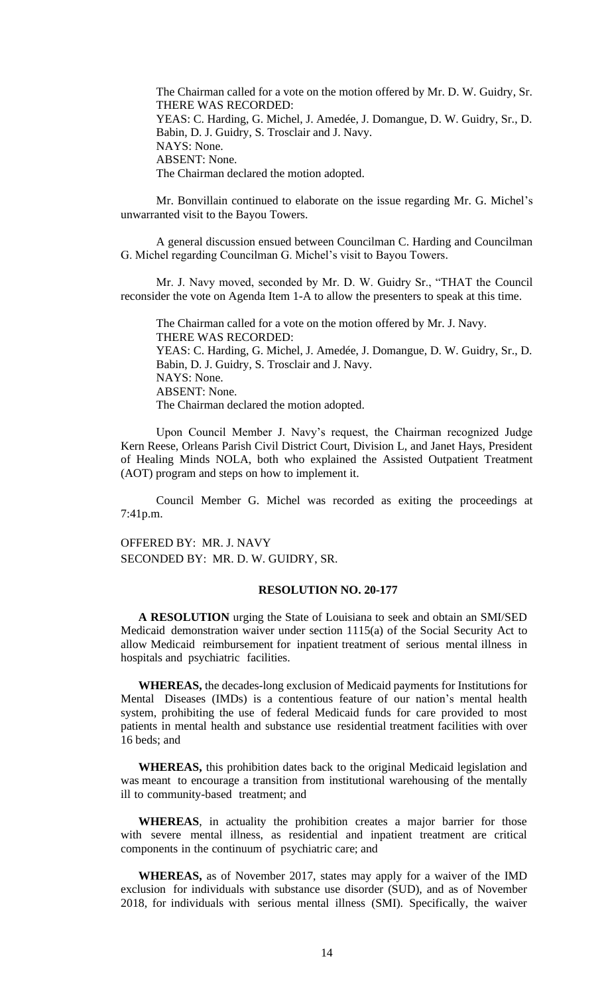The Chairman called for a vote on the motion offered by Mr. D. W. Guidry, Sr. THERE WAS RECORDED: YEAS: C. Harding, G. Michel, J. Amedée, J. Domangue, D. W. Guidry, Sr., D. Babin, D. J. Guidry, S. Trosclair and J. Navy. NAYS: None. ABSENT: None. The Chairman declared the motion adopted.

Mr. Bonvillain continued to elaborate on the issue regarding Mr. G. Michel's unwarranted visit to the Bayou Towers.

A general discussion ensued between Councilman C. Harding and Councilman G. Michel regarding Councilman G. Michel's visit to Bayou Towers.

Mr. J. Navy moved, seconded by Mr. D. W. Guidry Sr., "THAT the Council reconsider the vote on Agenda Item 1-A to allow the presenters to speak at this time.

The Chairman called for a vote on the motion offered by Mr. J. Navy. THERE WAS RECORDED: YEAS: C. Harding, G. Michel, J. Amedée, J. Domangue, D. W. Guidry, Sr., D. Babin, D. J. Guidry, S. Trosclair and J. Navy. NAYS: None. ABSENT: None. The Chairman declared the motion adopted.

Upon Council Member J. Navy's request, the Chairman recognized Judge Kern Reese, Orleans Parish Civil District Court, Division L, and Janet Hays, President of Healing Minds NOLA, both who explained the Assisted Outpatient Treatment (AOT) program and steps on how to implement it.

Council Member G. Michel was recorded as exiting the proceedings at 7:41p.m.

OFFERED BY: MR. J. NAVY SECONDED BY: MR. D. W. GUIDRY, SR.

### **RESOLUTION NO. 20-177**

**A RESOLUTION** urging the State of Louisiana to seek and obtain an SMI/SED Medicaid demonstration waiver under section 1115(a) of the Social Security Act to allow Medicaid reimbursement for inpatient treatment of serious mental illness in hospitals and psychiatric facilities.

**WHEREAS,** the decades-long exclusion of Medicaid payments for Institutions for Mental Diseases (IMDs) is a contentious feature of our nation's mental health system, prohibiting the use of federal Medicaid funds for care provided to most patients in mental health and substance use residential treatment facilities with over 16 beds; and

**WHEREAS,** this prohibition dates back to the original Medicaid legislation and was meant to encourage a transition from institutional warehousing of the mentally ill to community-based treatment; and

**WHEREAS**, in actuality the prohibition creates a major barrier for those with severe mental illness, as residential and inpatient treatment are critical components in the continuum of psychiatric care; and

**WHEREAS,** as of November 2017, states may apply for a waiver of the IMD exclusion for individuals with substance use disorder (SUD), and as of November 2018, for individuals with serious mental illness (SMI). Specifically, the waiver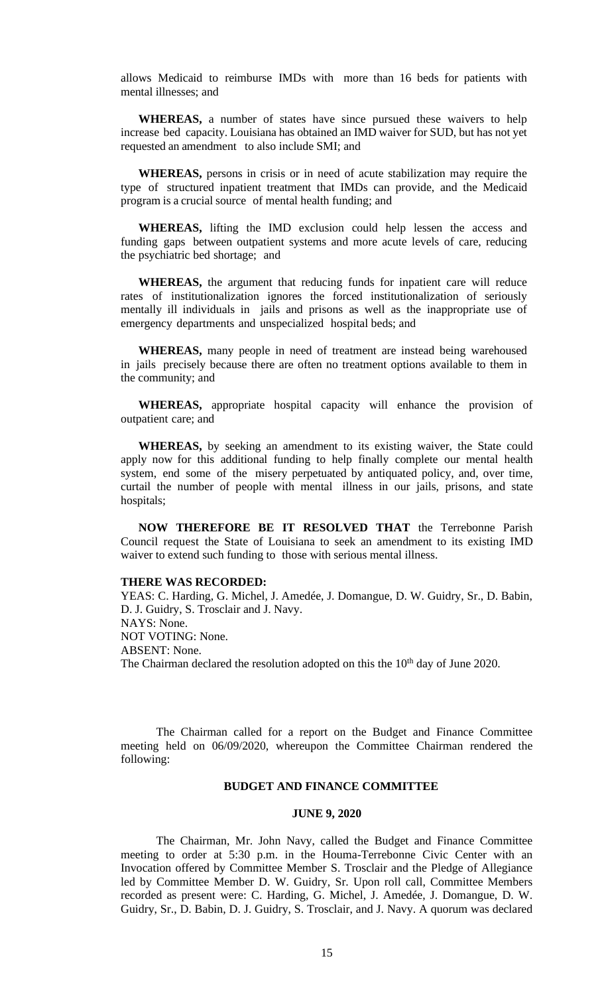allows Medicaid to reimburse IMDs with more than 16 beds for patients with mental illnesses; and

**WHEREAS,** a number of states have since pursued these waivers to help increase bed capacity. Louisiana has obtained an IMD waiver for SUD, but has not yet requested an amendment to also include SMI; and

**WHEREAS,** persons in crisis or in need of acute stabilization may require the type of structured inpatient treatment that IMDs can provide, and the Medicaid program is a crucial source of mental health funding; and

**WHEREAS,** lifting the IMD exclusion could help lessen the access and funding gaps between outpatient systems and more acute levels of care, reducing the psychiatric bed shortage; and

**WHEREAS,** the argument that reducing funds for inpatient care will reduce rates of institutionalization ignores the forced institutionalization of seriously mentally ill individuals in jails and prisons as well as the inappropriate use of emergency departments and unspecialized hospital beds; and

**WHEREAS,** many people in need of treatment are instead being warehoused in jails precisely because there are often no treatment options available to them in the community; and

**WHEREAS,** appropriate hospital capacity will enhance the provision of outpatient care; and

**WHEREAS,** by seeking an amendment to its existing waiver, the State could apply now for this additional funding to help finally complete our mental health system, end some of the misery perpetuated by antiquated policy, and, over time, curtail the number of people with mental illness in our jails, prisons, and state hospitals;

**NOW THEREFORE BE IT RESOLVED THAT** the Terrebonne Parish Council request the State of Louisiana to seek an amendment to its existing IMD waiver to extend such funding to those with serious mental illness.

## **THERE WAS RECORDED:**

YEAS: C. Harding, G. Michel, J. Amedée, J. Domangue, D. W. Guidry, Sr., D. Babin, D. J. Guidry, S. Trosclair and J. Navy. NAYS: None. NOT VOTING: None. ABSENT: None. The Chairman declared the resolution adopted on this the  $10<sup>th</sup>$  day of June 2020.

The Chairman called for a report on the Budget and Finance Committee meeting held on 06/09/2020, whereupon the Committee Chairman rendered the following:

## **BUDGET AND FINANCE COMMITTEE**

#### **JUNE 9, 2020**

The Chairman, Mr. John Navy, called the Budget and Finance Committee meeting to order at 5:30 p.m. in the Houma-Terrebonne Civic Center with an Invocation offered by Committee Member S. Trosclair and the Pledge of Allegiance led by Committee Member D. W. Guidry, Sr. Upon roll call, Committee Members recorded as present were: C. Harding, G. Michel, J. Amedée, J. Domangue, D. W. Guidry, Sr., D. Babin, D. J. Guidry, S. Trosclair, and J. Navy. A quorum was declared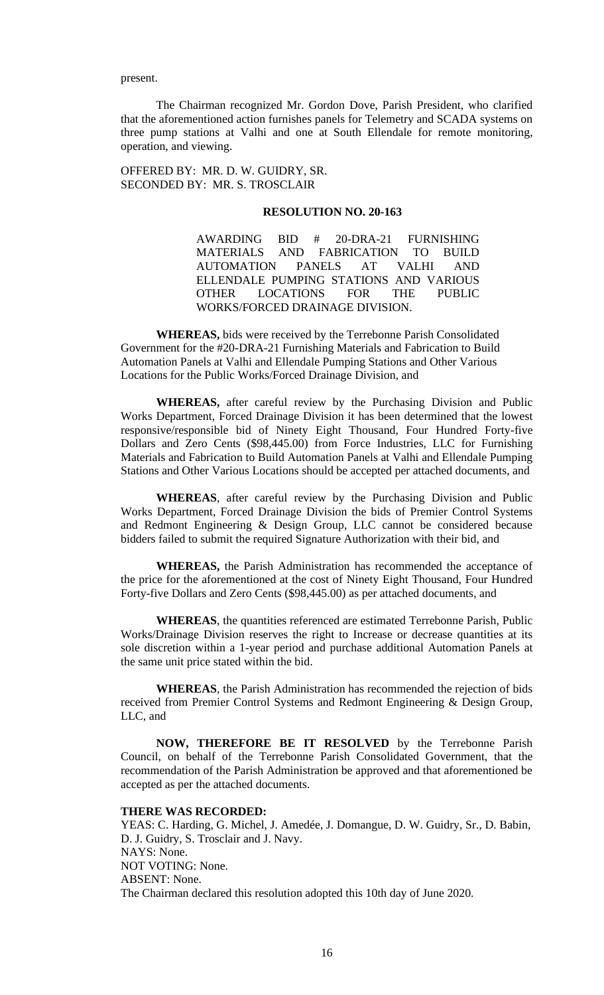present.

The Chairman recognized Mr. Gordon Dove, Parish President, who clarified that the aforementioned action furnishes panels for Telemetry and SCADA systems on three pump stations at Valhi and one at South Ellendale for remote monitoring, operation, and viewing.

OFFERED BY: MR. D. W. GUIDRY, SR. SECONDED BY: MR. S. TROSCLAIR

#### **RESOLUTION NO. 20-163**

AWARDING BID # 20-DRA-21 FURNISHING MATERIALS AND FABRICATION TO BUILD AUTOMATION PANELS AT VALHI AND ELLENDALE PUMPING STATIONS AND VARIOUS OTHER LOCATIONS FOR THE PUBLIC WORKS/FORCED DRAINAGE DIVISION.

**WHEREAS,** bids were received by the Terrebonne Parish Consolidated Government for the #20-DRA-21 Furnishing Materials and Fabrication to Build Automation Panels at Valhi and Ellendale Pumping Stations and Other Various Locations for the Public Works/Forced Drainage Division, and

**WHEREAS,** after careful review by the Purchasing Division and Public Works Department, Forced Drainage Division it has been determined that the lowest responsive/responsible bid of Ninety Eight Thousand, Four Hundred Forty-five Dollars and Zero Cents (\$98,445.00) from Force Industries, LLC for Furnishing Materials and Fabrication to Build Automation Panels at Valhi and Ellendale Pumping Stations and Other Various Locations should be accepted per attached documents, and

**WHEREAS**, after careful review by the Purchasing Division and Public Works Department, Forced Drainage Division the bids of Premier Control Systems and Redmont Engineering & Design Group, LLC cannot be considered because bidders failed to submit the required Signature Authorization with their bid, and

**WHEREAS,** the Parish Administration has recommended the acceptance of the price for the aforementioned at the cost of Ninety Eight Thousand, Four Hundred Forty-five Dollars and Zero Cents (\$98,445.00) as per attached documents, and

**WHEREAS**, the quantities referenced are estimated Terrebonne Parish, Public Works/Drainage Division reserves the right to Increase or decrease quantities at its sole discretion within a 1-year period and purchase additional Automation Panels at the same unit price stated within the bid.

**WHEREAS**, the Parish Administration has recommended the rejection of bids received from Premier Control Systems and Redmont Engineering & Design Group, LLC, and

**NOW, THEREFORE BE IT RESOLVED** by the Terrebonne Parish Council, on behalf of the Terrebonne Parish Consolidated Government, that the recommendation of the Parish Administration be approved and that aforementioned be accepted as per the attached documents.

## **THERE WAS RECORDED:**

YEAS: C. Harding, G. Michel, J. Amedée, J. Domangue, D. W. Guidry, Sr., D. Babin, D. J. Guidry, S. Trosclair and J. Navy. NAYS: None. NOT VOTING: None. ABSENT: None. The Chairman declared this resolution adopted this 10th day of June 2020.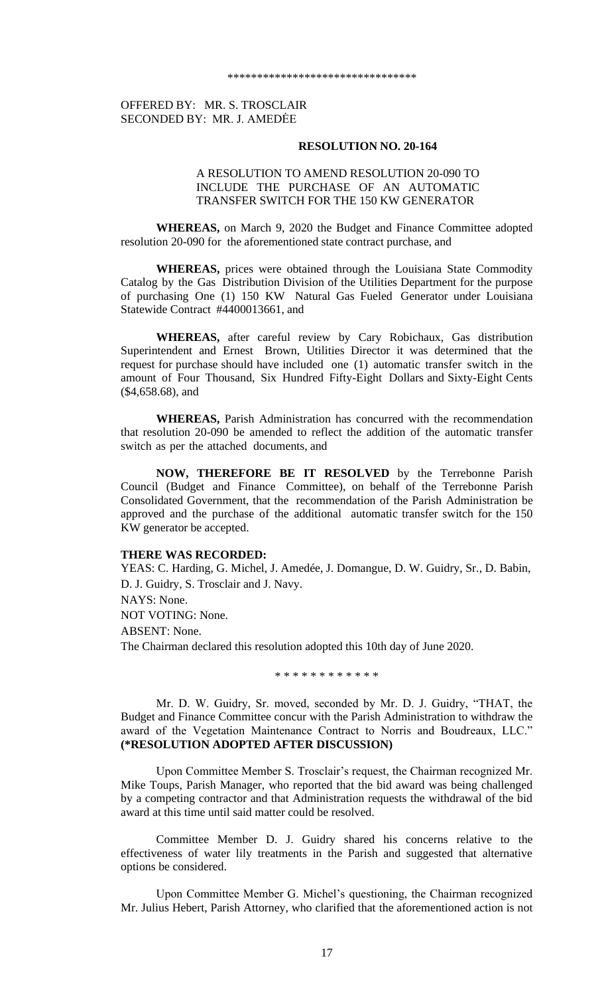## OFFERED BY: MR. S. TROSCLAIR SECONDED BY: MR. J. AMEDĖE

#### **RESOLUTION NO. 20-164**

## A RESOLUTION TO AMEND RESOLUTION 20-090 TO INCLUDE THE PURCHASE OF AN AUTOMATIC TRANSFER SWITCH FOR THE 150 KW GENERATOR

**WHEREAS,** on March 9, 2020 the Budget and Finance Committee adopted resolution 20-090 for the aforementioned state contract purchase, and

**WHEREAS,** prices were obtained through the Louisiana State Commodity Catalog by the Gas Distribution Division of the Utilities Department for the purpose of purchasing One (1) 150 KW Natural Gas Fueled Generator under Louisiana Statewide Contract #4400013661, and

**WHEREAS,** after careful review by Cary Robichaux, Gas distribution Superintendent and Ernest Brown, Utilities Director it was determined that the request for purchase should have included one (1) automatic transfer switch in the amount of Four Thousand, Six Hundred Fifty-Eight Dollars and Sixty-Eight Cents (\$4,658.68), and

**WHEREAS,** Parish Administration has concurred with the recommendation that resolution 20-090 be amended to reflect the addition of the automatic transfer switch as per the attached documents, and

**NOW, THEREFORE BE IT RESOLVED** by the Terrebonne Parish Council (Budget and Finance Committee), on behalf of the Terrebonne Parish Consolidated Government, that the recommendation of the Parish Administration be approved and the purchase of the additional automatic transfer switch for the 150 KW generator be accepted.

## **THERE WAS RECORDED:**

YEAS: C. Harding, G. Michel, J. Amedée, J. Domangue, D. W. Guidry, Sr., D. Babin, D. J. Guidry, S. Trosclair and J. Navy. NAYS: None. NOT VOTING: None.

ABSENT: None.

The Chairman declared this resolution adopted this 10th day of June 2020.

\* \* \* \* \* \* \* \* \* \* \* \*

Mr. D. W. Guidry, Sr. moved, seconded by Mr. D. J. Guidry, "THAT, the Budget and Finance Committee concur with the Parish Administration to withdraw the award of the Vegetation Maintenance Contract to Norris and Boudreaux, LLC." **(\*RESOLUTION ADOPTED AFTER DISCUSSION)**

Upon Committee Member S. Trosclair's request, the Chairman recognized Mr. Mike Toups, Parish Manager, who reported that the bid award was being challenged by a competing contractor and that Administration requests the withdrawal of the bid award at this time until said matter could be resolved.

Committee Member D. J. Guidry shared his concerns relative to the effectiveness of water lily treatments in the Parish and suggested that alternative options be considered.

Upon Committee Member G. Michel's questioning, the Chairman recognized Mr. Julius Hebert, Parish Attorney, who clarified that the aforementioned action is not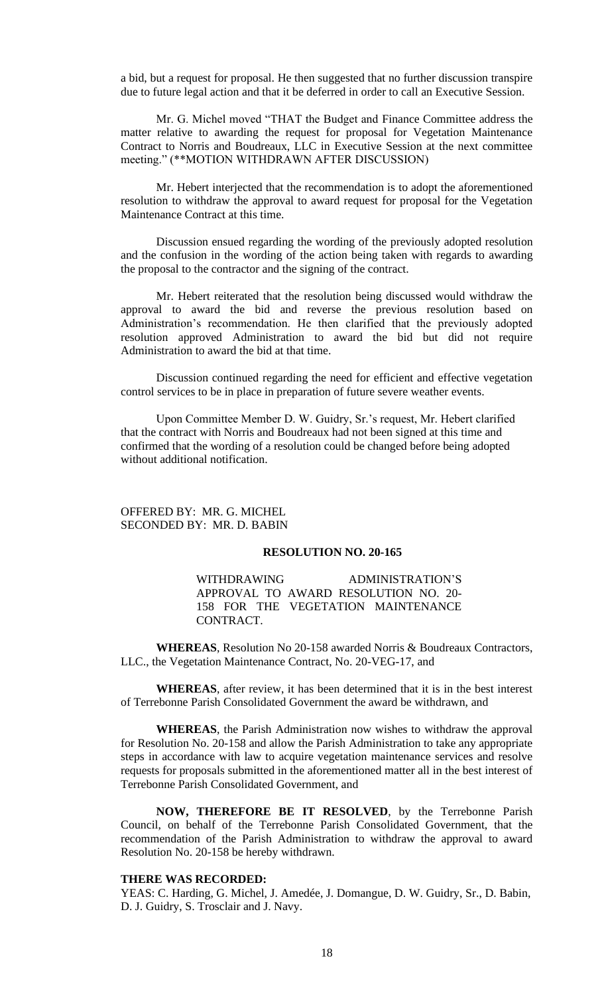a bid, but a request for proposal. He then suggested that no further discussion transpire due to future legal action and that it be deferred in order to call an Executive Session.

Mr. G. Michel moved "THAT the Budget and Finance Committee address the matter relative to awarding the request for proposal for Vegetation Maintenance Contract to Norris and Boudreaux, LLC in Executive Session at the next committee meeting." (\*\*MOTION WITHDRAWN AFTER DISCUSSION)

Mr. Hebert interjected that the recommendation is to adopt the aforementioned resolution to withdraw the approval to award request for proposal for the Vegetation Maintenance Contract at this time.

Discussion ensued regarding the wording of the previously adopted resolution and the confusion in the wording of the action being taken with regards to awarding the proposal to the contractor and the signing of the contract.

Mr. Hebert reiterated that the resolution being discussed would withdraw the approval to award the bid and reverse the previous resolution based on Administration's recommendation. He then clarified that the previously adopted resolution approved Administration to award the bid but did not require Administration to award the bid at that time.

Discussion continued regarding the need for efficient and effective vegetation control services to be in place in preparation of future severe weather events.

Upon Committee Member D. W. Guidry, Sr.'s request, Mr. Hebert clarified that the contract with Norris and Boudreaux had not been signed at this time and confirmed that the wording of a resolution could be changed before being adopted without additional notification.

## OFFERED BY: MR. G. MICHEL SECONDED BY: MR. D. BABIN

### **RESOLUTION NO. 20-165**

WITHDRAWING ADMINISTRATION'S APPROVAL TO AWARD RESOLUTION NO. 20- 158 FOR THE VEGETATION MAINTENANCE CONTRACT.

**WHEREAS**, Resolution No 20-158 awarded Norris & Boudreaux Contractors, LLC., the Vegetation Maintenance Contract, No. 20-VEG-17, and

**WHEREAS**, after review, it has been determined that it is in the best interest of Terrebonne Parish Consolidated Government the award be withdrawn, and

**WHEREAS**, the Parish Administration now wishes to withdraw the approval for Resolution No. 20-158 and allow the Parish Administration to take any appropriate steps in accordance with law to acquire vegetation maintenance services and resolve requests for proposals submitted in the aforementioned matter all in the best interest of Terrebonne Parish Consolidated Government, and

**NOW, THEREFORE BE IT RESOLVED**, by the Terrebonne Parish Council, on behalf of the Terrebonne Parish Consolidated Government, that the recommendation of the Parish Administration to withdraw the approval to award Resolution No. 20-158 be hereby withdrawn.

### **THERE WAS RECORDED:**

YEAS: C. Harding, G. Michel, J. Amedée, J. Domangue, D. W. Guidry, Sr., D. Babin, D. J. Guidry, S. Trosclair and J. Navy.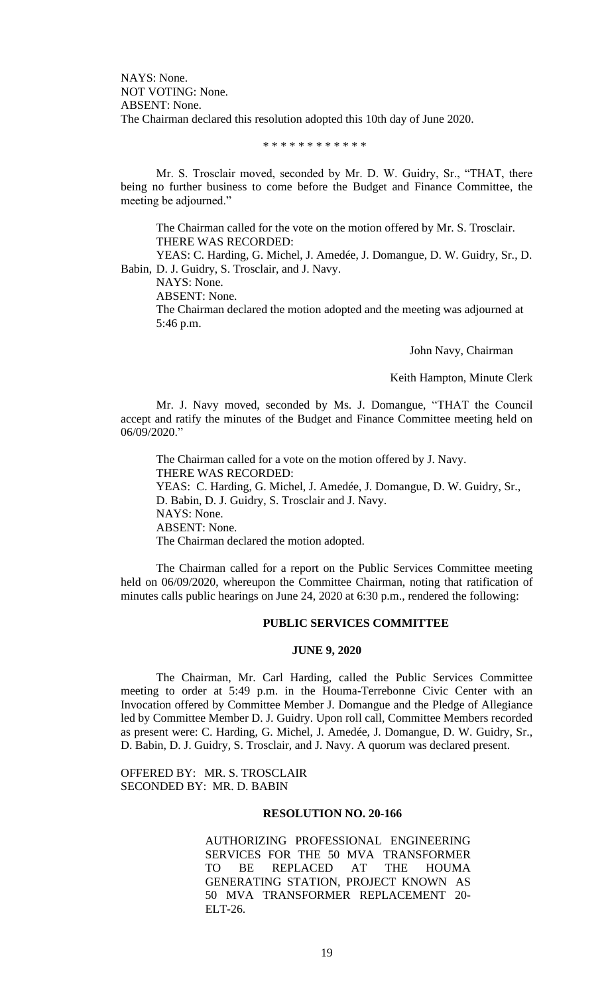NAYS: None. NOT VOTING: None. ABSENT: None. The Chairman declared this resolution adopted this 10th day of June 2020.

### \* \* \* \* \* \* \* \* \* \* \* \*

Mr. S. Trosclair moved, seconded by Mr. D. W. Guidry, Sr., "THAT, there being no further business to come before the Budget and Finance Committee, the meeting be adjourned."

The Chairman called for the vote on the motion offered by Mr. S. Trosclair. THERE WAS RECORDED:

YEAS: C. Harding, G. Michel, J. Amedée, J. Domangue, D. W. Guidry, Sr., D. Babin, D. J. Guidry, S. Trosclair, and J. Navy.

NAYS: None.

ABSENT: None.

The Chairman declared the motion adopted and the meeting was adjourned at 5:46 p.m.

John Navy, Chairman

Keith Hampton, Minute Clerk

Mr. J. Navy moved, seconded by Ms. J. Domangue, "THAT the Council accept and ratify the minutes of the Budget and Finance Committee meeting held on 06/09/2020."

The Chairman called for a vote on the motion offered by J. Navy. THERE WAS RECORDED: YEAS: C. Harding, G. Michel, J. Amedée, J. Domangue, D. W. Guidry, Sr., D. Babin, D. J. Guidry, S. Trosclair and J. Navy. NAYS: None. ABSENT: None. The Chairman declared the motion adopted.

The Chairman called for a report on the Public Services Committee meeting held on 06/09/2020, whereupon the Committee Chairman, noting that ratification of minutes calls public hearings on June 24, 2020 at 6:30 p.m., rendered the following:

## **PUBLIC SERVICES COMMITTEE**

### **JUNE 9, 2020**

The Chairman, Mr. Carl Harding, called the Public Services Committee meeting to order at 5:49 p.m. in the Houma-Terrebonne Civic Center with an Invocation offered by Committee Member J. Domangue and the Pledge of Allegiance led by Committee Member D. J. Guidry. Upon roll call, Committee Members recorded as present were: C. Harding, G. Michel, J. Amedée, J. Domangue, D. W. Guidry, Sr., D. Babin, D. J. Guidry, S. Trosclair, and J. Navy. A quorum was declared present.

OFFERED BY: MR. S. TROSCLAIR SECONDED BY: MR. D. BABIN

### **RESOLUTION NO. 20-166**

AUTHORIZING PROFESSIONAL ENGINEERING SERVICES FOR THE 50 MVA TRANSFORMER TO BE REPLACED AT THE HOUMA GENERATING STATION, PROJECT KNOWN AS 50 MVA TRANSFORMER REPLACEMENT 20- ELT-26.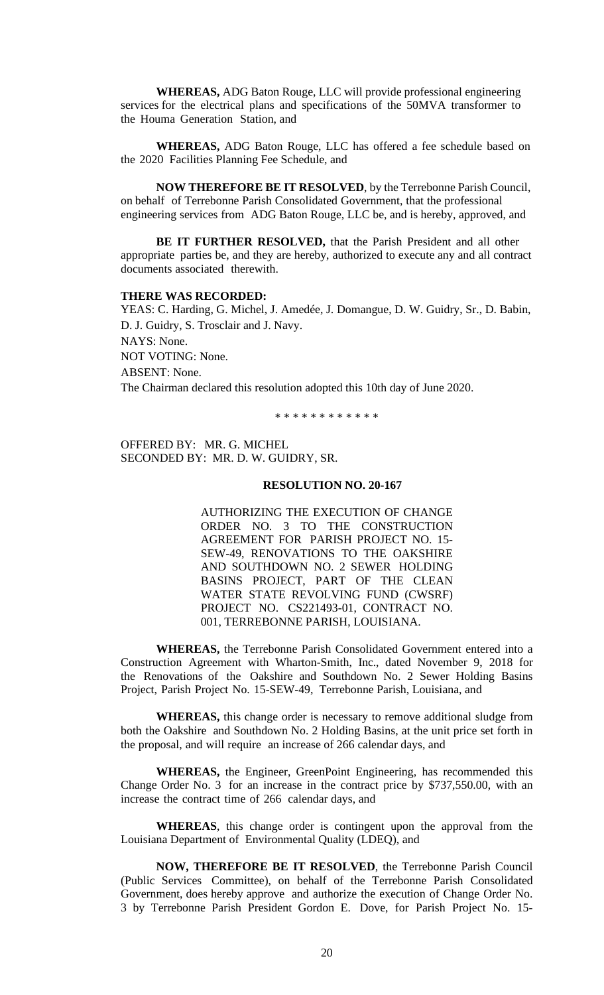**WHEREAS,** ADG Baton Rouge, LLC will provide professional engineering services for the electrical plans and specifications of the 50MVA transformer to the Houma Generation Station, and

**WHEREAS,** ADG Baton Rouge, LLC has offered a fee schedule based on the 2020 Facilities Planning Fee Schedule, and

**NOW THEREFORE BE IT RESOLVED**, by the Terrebonne Parish Council, on behalf of Terrebonne Parish Consolidated Government, that the professional engineering services from ADG Baton Rouge, LLC be, and is hereby, approved, and

**BE IT FURTHER RESOLVED,** that the Parish President and all other appropriate parties be, and they are hereby, authorized to execute any and all contract documents associated therewith.

#### **THERE WAS RECORDED:**

YEAS: C. Harding, G. Michel, J. Amedée, J. Domangue, D. W. Guidry, Sr., D. Babin, D. J. Guidry, S. Trosclair and J. Navy. NAYS: None. NOT VOTING: None. ABSENT: None. The Chairman declared this resolution adopted this 10th day of June 2020.

\* \* \* \* \* \* \* \* \* \* \* \*

OFFERED BY: MR. G. MICHEL SECONDED BY: MR. D. W. GUIDRY, SR.

## **RESOLUTION NO. 20-167**

AUTHORIZING THE EXECUTION OF CHANGE ORDER NO. 3 TO THE CONSTRUCTION AGREEMENT FOR PARISH PROJECT NO. 15- SEW-49, RENOVATIONS TO THE OAKSHIRE AND SOUTHDOWN NO. 2 SEWER HOLDING BASINS PROJECT, PART OF THE CLEAN WATER STATE REVOLVING FUND (CWSRF) PROJECT NO. CS221493-01, CONTRACT NO. 001, TERREBONNE PARISH, LOUISIANA.

**WHEREAS,** the Terrebonne Parish Consolidated Government entered into a Construction Agreement with Wharton-Smith, Inc., dated November 9, 2018 for the Renovations of the Oakshire and Southdown No. 2 Sewer Holding Basins Project, Parish Project No. 15-SEW-49, Terrebonne Parish, Louisiana, and

**WHEREAS,** this change order is necessary to remove additional sludge from both the Oakshire and Southdown No. 2 Holding Basins, at the unit price set forth in the proposal, and will require an increase of 266 calendar days, and

**WHEREAS,** the Engineer, GreenPoint Engineering, has recommended this Change Order No. 3 for an increase in the contract price by \$737,550.00, with an increase the contract time of 266 calendar days, and

**WHEREAS**, this change order is contingent upon the approval from the Louisiana Department of Environmental Quality (LDEQ), and

**NOW, THEREFORE BE IT RESOLVED**, the Terrebonne Parish Council (Public Services Committee), on behalf of the Terrebonne Parish Consolidated Government, does hereby approve and authorize the execution of Change Order No. 3 by Terrebonne Parish President Gordon E. Dove, for Parish Project No. 15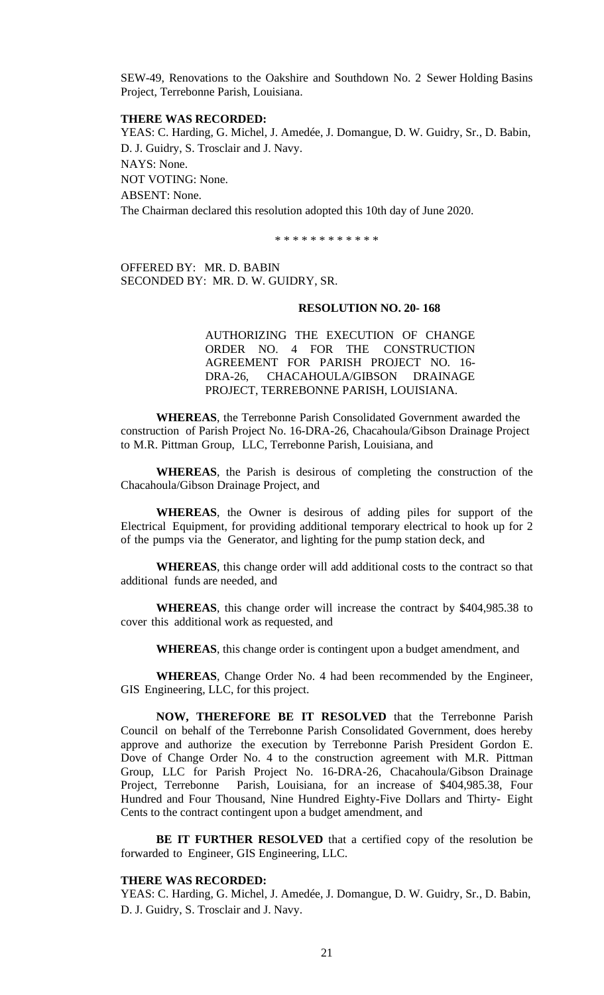SEW-49, Renovations to the Oakshire and Southdown No. 2 Sewer Holding Basins Project, Terrebonne Parish, Louisiana.

## **THERE WAS RECORDED:**

YEAS: C. Harding, G. Michel, J. Amedée, J. Domangue, D. W. Guidry, Sr., D. Babin, D. J. Guidry, S. Trosclair and J. Navy. NAYS: None. NOT VOTING: None. ABSENT: None. The Chairman declared this resolution adopted this 10th day of June 2020.

\* \* \* \* \* \* \* \* \* \* \*

OFFERED BY: MR. D. BABIN SECONDED BY: MR. D. W. GUIDRY, SR.

### **RESOLUTION NO. 20- 168**

AUTHORIZING THE EXECUTION OF CHANGE ORDER NO. 4 FOR THE CONSTRUCTION AGREEMENT FOR PARISH PROJECT NO. 16- DRA-26, CHACAHOULA/GIBSON DRAINAGE PROJECT, TERREBONNE PARISH, LOUISIANA.

**WHEREAS**, the Terrebonne Parish Consolidated Government awarded the construction of Parish Project No. 16-DRA-26, Chacahoula/Gibson Drainage Project to M.R. Pittman Group, LLC, Terrebonne Parish, Louisiana, and

**WHEREAS**, the Parish is desirous of completing the construction of the Chacahoula/Gibson Drainage Project, and

**WHEREAS**, the Owner is desirous of adding piles for support of the Electrical Equipment, for providing additional temporary electrical to hook up for 2 of the pumps via the Generator, and lighting for the pump station deck, and

**WHEREAS**, this change order will add additional costs to the contract so that additional funds are needed, and

**WHEREAS**, this change order will increase the contract by \$404,985.38 to cover this additional work as requested, and

**WHEREAS**, this change order is contingent upon a budget amendment, and

**WHEREAS**, Change Order No. 4 had been recommended by the Engineer, GIS Engineering, LLC, for this project.

**NOW, THEREFORE BE IT RESOLVED** that the Terrebonne Parish Council on behalf of the Terrebonne Parish Consolidated Government, does hereby approve and authorize the execution by Terrebonne Parish President Gordon E. Dove of Change Order No. 4 to the construction agreement with M.R. Pittman Group, LLC for Parish Project No. 16-DRA-26, Chacahoula/Gibson Drainage Project, Terrebonne Parish, Louisiana, for an increase of \$404,985.38, Four Hundred and Four Thousand, Nine Hundred Eighty-Five Dollars and Thirty- Eight Cents to the contract contingent upon a budget amendment, and

**BE IT FURTHER RESOLVED** that a certified copy of the resolution be forwarded to Engineer, GIS Engineering, LLC.

## **THERE WAS RECORDED:**

YEAS: C. Harding, G. Michel, J. Amedée, J. Domangue, D. W. Guidry, Sr., D. Babin, D. J. Guidry, S. Trosclair and J. Navy.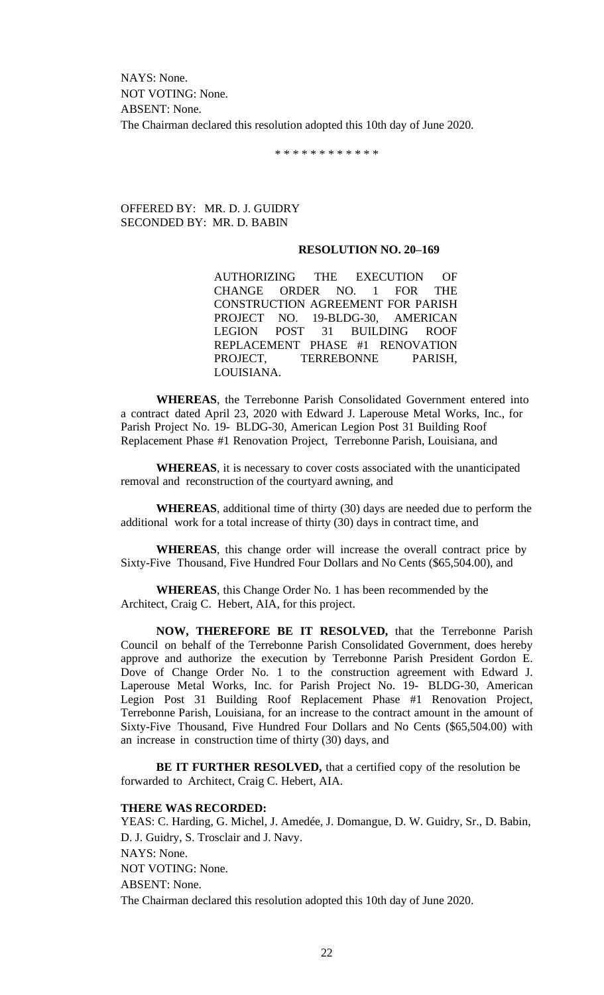NAYS: None. NOT VOTING: None. ABSENT: None. The Chairman declared this resolution adopted this 10th day of June 2020.

\* \* \* \* \* \* \* \* \* \* \* \*

## OFFERED BY: MR. D. J. GUIDRY SECONDED BY: MR. D. BABIN

## **RESOLUTION NO. 20–169**

AUTHORIZING THE EXECUTION OF CHANGE ORDER NO. 1 FOR THE CONSTRUCTION AGREEMENT FOR PARISH PROJECT NO. 19-BLDG-30, AMERICAN LEGION POST 31 BUILDING ROOF REPLACEMENT PHASE #1 RENOVATION PROJECT. TERREBONNE PARISH, LOUISIANA.

**WHEREAS**, the Terrebonne Parish Consolidated Government entered into a contract dated April 23, 2020 with Edward J. Laperouse Metal Works, Inc., for Parish Project No. 19- BLDG-30, American Legion Post 31 Building Roof Replacement Phase #1 Renovation Project, Terrebonne Parish, Louisiana, and

**WHEREAS**, it is necessary to cover costs associated with the unanticipated removal and reconstruction of the courtyard awning, and

**WHEREAS**, additional time of thirty (30) days are needed due to perform the additional work for a total increase of thirty (30) days in contract time, and

**WHEREAS**, this change order will increase the overall contract price by Sixty-Five Thousand, Five Hundred Four Dollars and No Cents (\$65,504.00), and

**WHEREAS**, this Change Order No. 1 has been recommended by the Architect, Craig C. Hebert, AIA, for this project.

**NOW, THEREFORE BE IT RESOLVED,** that the Terrebonne Parish Council on behalf of the Terrebonne Parish Consolidated Government, does hereby approve and authorize the execution by Terrebonne Parish President Gordon E. Dove of Change Order No. 1 to the construction agreement with Edward J. Laperouse Metal Works, Inc. for Parish Project No. 19- BLDG-30, American Legion Post 31 Building Roof Replacement Phase #1 Renovation Project, Terrebonne Parish, Louisiana, for an increase to the contract amount in the amount of Sixty-Five Thousand, Five Hundred Four Dollars and No Cents (\$65,504.00) with an increase in construction time of thirty (30) days, and

**BE IT FURTHER RESOLVED,** that a certified copy of the resolution be forwarded to Architect, Craig C. Hebert, AIA.

## **THERE WAS RECORDED:**

YEAS: C. Harding, G. Michel, J. Amedée, J. Domangue, D. W. Guidry, Sr., D. Babin, D. J. Guidry, S. Trosclair and J. Navy. NAYS: None. NOT VOTING: None. ABSENT: None. The Chairman declared this resolution adopted this 10th day of June 2020.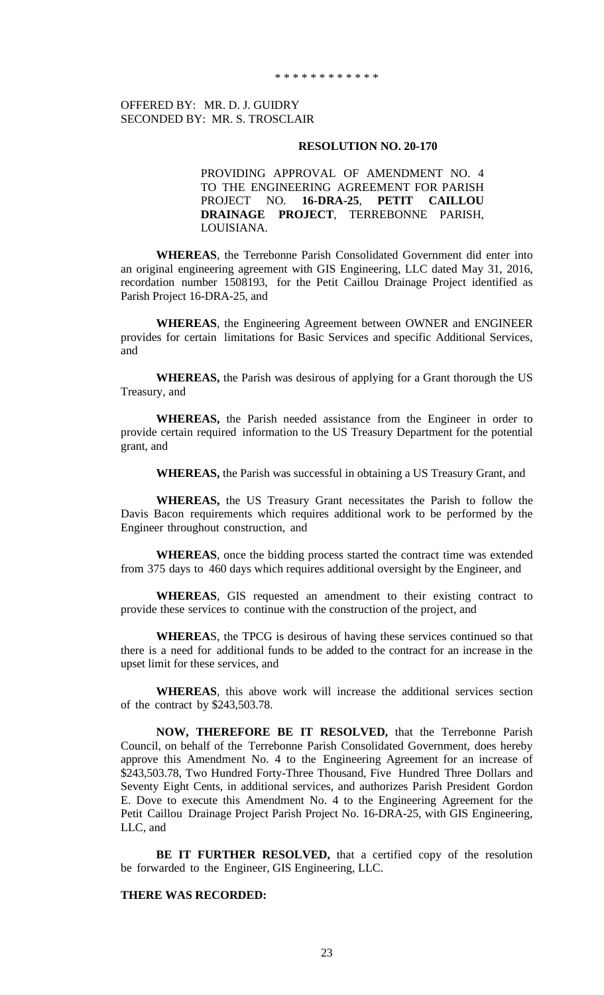## OFFERED BY: MR. D. J. GUIDRY SECONDED BY: MR. S. TROSCLAIR

#### **RESOLUTION NO. 20-170**

PROVIDING APPROVAL OF AMENDMENT NO. 4 TO THE ENGINEERING AGREEMENT FOR PARISH PROJECT NO. **16-DRA-25**, **PETIT CAILLOU DRAINAGE PROJECT**, TERREBONNE PARISH, LOUISIANA.

**WHEREAS**, the Terrebonne Parish Consolidated Government did enter into an original engineering agreement with GIS Engineering, LLC dated May 31, 2016, recordation number 1508193, for the Petit Caillou Drainage Project identified as Parish Project 16-DRA-25, and

**WHEREAS**, the Engineering Agreement between OWNER and ENGINEER provides for certain limitations for Basic Services and specific Additional Services, and

**WHEREAS,** the Parish was desirous of applying for a Grant thorough the US Treasury, and

**WHEREAS,** the Parish needed assistance from the Engineer in order to provide certain required information to the US Treasury Department for the potential grant, and

**WHEREAS,** the Parish was successful in obtaining a US Treasury Grant, and

**WHEREAS,** the US Treasury Grant necessitates the Parish to follow the Davis Bacon requirements which requires additional work to be performed by the Engineer throughout construction, and

**WHEREAS**, once the bidding process started the contract time was extended from 375 days to 460 days which requires additional oversight by the Engineer, and

**WHEREAS**, GIS requested an amendment to their existing contract to provide these services to continue with the construction of the project, and

**WHEREA**S, the TPCG is desirous of having these services continued so that there is a need for additional funds to be added to the contract for an increase in the upset limit for these services, and

**WHEREAS**, this above work will increase the additional services section of the contract by \$243,503.78.

**NOW, THEREFORE BE IT RESOLVED,** that the Terrebonne Parish Council, on behalf of the Terrebonne Parish Consolidated Government, does hereby approve this Amendment No. 4 to the Engineering Agreement for an increase of \$243,503.78, Two Hundred Forty-Three Thousand, Five Hundred Three Dollars and Seventy Eight Cents, in additional services, and authorizes Parish President Gordon E. Dove to execute this Amendment No. 4 to the Engineering Agreement for the Petit Caillou Drainage Project Parish Project No. 16-DRA-25, with GIS Engineering, LLC, and

**BE IT FURTHER RESOLVED,** that a certified copy of the resolution be forwarded to the Engineer, GIS Engineering, LLC.

## **THERE WAS RECORDED:**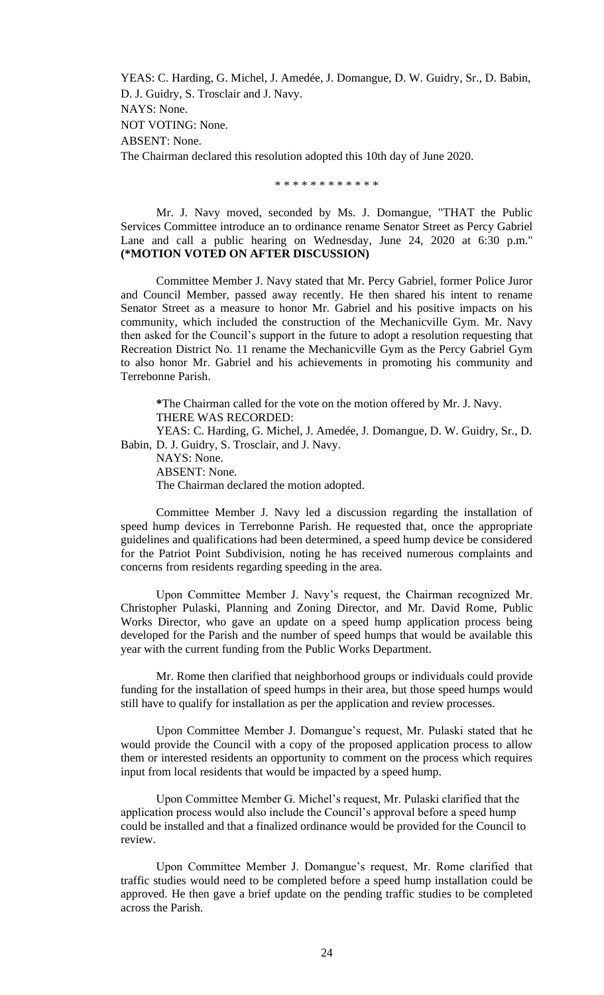YEAS: C. Harding, G. Michel, J. Amedée, J. Domangue, D. W. Guidry, Sr., D. Babin, D. J. Guidry, S. Trosclair and J. Navy. NAYS: None. NOT VOTING: None. ABSENT: None. The Chairman declared this resolution adopted this 10th day of June 2020.

\* \* \* \* \* \* \* \* \* \* \* \*

Mr. J. Navy moved, seconded by Ms. J. Domangue, "THAT the Public Services Committee introduce an to ordinance rename Senator Street as Percy Gabriel Lane and call a public hearing on Wednesday, June 24, 2020 at 6:30 p.m." **(\*MOTION VOTED ON AFTER DISCUSSION)**

Committee Member J. Navy stated that Mr. Percy Gabriel, former Police Juror and Council Member, passed away recently. He then shared his intent to rename Senator Street as a measure to honor Mr. Gabriel and his positive impacts on his community, which included the construction of the Mechanicville Gym. Mr. Navy then asked for the Council's support in the future to adopt a resolution requesting that Recreation District No. 11 rename the Mechanicville Gym as the Percy Gabriel Gym to also honor Mr. Gabriel and his achievements in promoting his community and Terrebonne Parish.

**\***The Chairman called for the vote on the motion offered by Mr. J. Navy. THERE WAS RECORDED:

YEAS: C. Harding, G. Michel, J. Amedée, J. Domangue, D. W. Guidry, Sr., D. Babin, D. J. Guidry, S. Trosclair, and J. Navy.

NAYS: None. ABSENT: None. The Chairman declared the motion adopted.

Committee Member J. Navy led a discussion regarding the installation of speed hump devices in Terrebonne Parish. He requested that, once the appropriate guidelines and qualifications had been determined, a speed hump device be considered for the Patriot Point Subdivision, noting he has received numerous complaints and concerns from residents regarding speeding in the area.

Upon Committee Member J. Navy's request, the Chairman recognized Mr. Christopher Pulaski, Planning and Zoning Director, and Mr. David Rome, Public Works Director, who gave an update on a speed hump application process being developed for the Parish and the number of speed humps that would be available this year with the current funding from the Public Works Department.

Mr. Rome then clarified that neighborhood groups or individuals could provide funding for the installation of speed humps in their area, but those speed humps would still have to qualify for installation as per the application and review processes.

Upon Committee Member J. Domangue's request, Mr. Pulaski stated that he would provide the Council with a copy of the proposed application process to allow them or interested residents an opportunity to comment on the process which requires input from local residents that would be impacted by a speed hump.

Upon Committee Member G. Michel's request, Mr. Pulaski clarified that the application process would also include the Council's approval before a speed hump could be installed and that a finalized ordinance would be provided for the Council to review.

Upon Committee Member J. Domangue's request, Mr. Rome clarified that traffic studies would need to be completed before a speed hump installation could be approved. He then gave a brief update on the pending traffic studies to be completed across the Parish.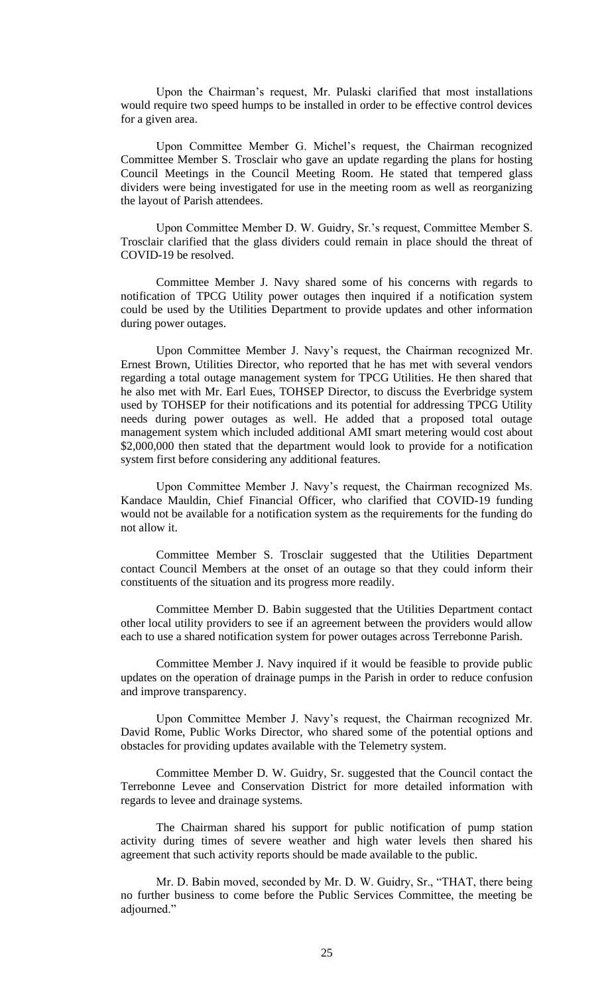Upon the Chairman's request, Mr. Pulaski clarified that most installations would require two speed humps to be installed in order to be effective control devices for a given area.

Upon Committee Member G. Michel's request, the Chairman recognized Committee Member S. Trosclair who gave an update regarding the plans for hosting Council Meetings in the Council Meeting Room. He stated that tempered glass dividers were being investigated for use in the meeting room as well as reorganizing the layout of Parish attendees.

Upon Committee Member D. W. Guidry, Sr.'s request, Committee Member S. Trosclair clarified that the glass dividers could remain in place should the threat of COVID-19 be resolved.

Committee Member J. Navy shared some of his concerns with regards to notification of TPCG Utility power outages then inquired if a notification system could be used by the Utilities Department to provide updates and other information during power outages.

Upon Committee Member J. Navy's request, the Chairman recognized Mr. Ernest Brown, Utilities Director, who reported that he has met with several vendors regarding a total outage management system for TPCG Utilities. He then shared that he also met with Mr. Earl Eues, TOHSEP Director, to discuss the Everbridge system used by TOHSEP for their notifications and its potential for addressing TPCG Utility needs during power outages as well. He added that a proposed total outage management system which included additional AMI smart metering would cost about \$2,000,000 then stated that the department would look to provide for a notification system first before considering any additional features.

Upon Committee Member J. Navy's request, the Chairman recognized Ms. Kandace Mauldin, Chief Financial Officer, who clarified that COVID-19 funding would not be available for a notification system as the requirements for the funding do not allow it.

Committee Member S. Trosclair suggested that the Utilities Department contact Council Members at the onset of an outage so that they could inform their constituents of the situation and its progress more readily.

Committee Member D. Babin suggested that the Utilities Department contact other local utility providers to see if an agreement between the providers would allow each to use a shared notification system for power outages across Terrebonne Parish.

Committee Member J. Navy inquired if it would be feasible to provide public updates on the operation of drainage pumps in the Parish in order to reduce confusion and improve transparency.

Upon Committee Member J. Navy's request, the Chairman recognized Mr. David Rome, Public Works Director, who shared some of the potential options and obstacles for providing updates available with the Telemetry system.

Committee Member D. W. Guidry, Sr. suggested that the Council contact the Terrebonne Levee and Conservation District for more detailed information with regards to levee and drainage systems.

The Chairman shared his support for public notification of pump station activity during times of severe weather and high water levels then shared his agreement that such activity reports should be made available to the public.

Mr. D. Babin moved, seconded by Mr. D. W. Guidry, Sr., "THAT, there being no further business to come before the Public Services Committee, the meeting be adjourned."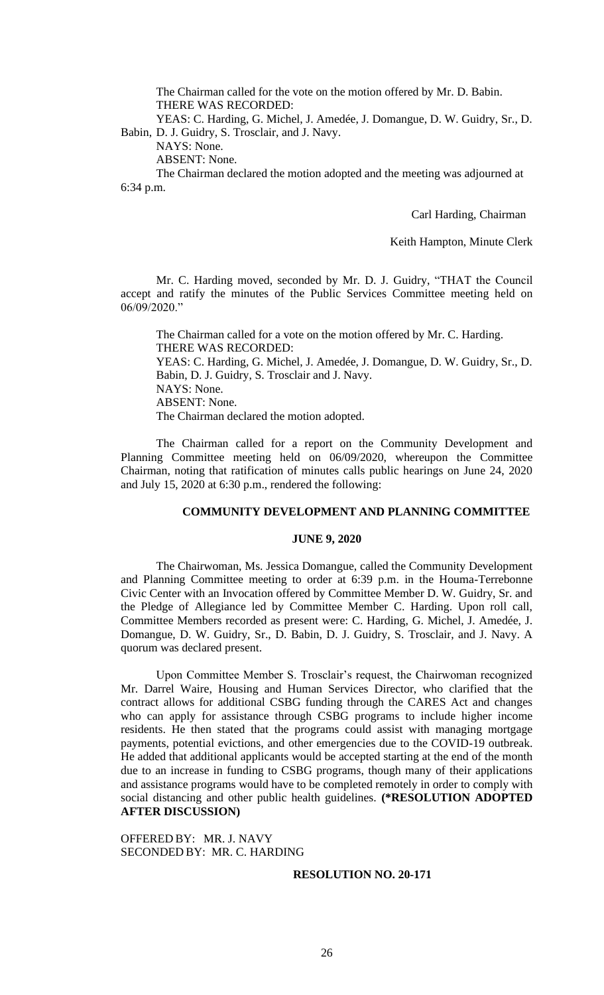The Chairman called for the vote on the motion offered by Mr. D. Babin. THERE WAS RECORDED:

YEAS: C. Harding, G. Michel, J. Amedée, J. Domangue, D. W. Guidry, Sr., D. Babin, D. J. Guidry, S. Trosclair, and J. Navy.

NAYS: None.

ABSENT: None.

The Chairman declared the motion adopted and the meeting was adjourned at 6:34 p.m.

Carl Harding, Chairman

Keith Hampton, Minute Clerk

Mr. C. Harding moved, seconded by Mr. D. J. Guidry, "THAT the Council accept and ratify the minutes of the Public Services Committee meeting held on 06/09/2020."

The Chairman called for a vote on the motion offered by Mr. C. Harding. THERE WAS RECORDED: YEAS: C. Harding, G. Michel, J. Amedée, J. Domangue, D. W. Guidry, Sr., D. Babin, D. J. Guidry, S. Trosclair and J. Navy. NAYS: None. ABSENT: None. The Chairman declared the motion adopted.

The Chairman called for a report on the Community Development and Planning Committee meeting held on 06/09/2020, whereupon the Committee Chairman, noting that ratification of minutes calls public hearings on June 24, 2020 and July 15, 2020 at 6:30 p.m., rendered the following:

### **COMMUNITY DEVELOPMENT AND PLANNING COMMITTEE**

#### **JUNE 9, 2020**

The Chairwoman, Ms. Jessica Domangue, called the Community Development and Planning Committee meeting to order at 6:39 p.m. in the Houma-Terrebonne Civic Center with an Invocation offered by Committee Member D. W. Guidry, Sr. and the Pledge of Allegiance led by Committee Member C. Harding. Upon roll call, Committee Members recorded as present were: C. Harding, G. Michel, J. Amedée, J. Domangue, D. W. Guidry, Sr., D. Babin, D. J. Guidry, S. Trosclair, and J. Navy. A quorum was declared present.

Upon Committee Member S. Trosclair's request, the Chairwoman recognized Mr. Darrel Waire, Housing and Human Services Director, who clarified that the contract allows for additional CSBG funding through the CARES Act and changes who can apply for assistance through CSBG programs to include higher income residents. He then stated that the programs could assist with managing mortgage payments, potential evictions, and other emergencies due to the COVID-19 outbreak. He added that additional applicants would be accepted starting at the end of the month due to an increase in funding to CSBG programs, though many of their applications and assistance programs would have to be completed remotely in order to comply with social distancing and other public health guidelines. **(\*RESOLUTION ADOPTED AFTER DISCUSSION)**

OFFERED BY: MR. J. NAVY SECONDED BY: MR. C. HARDING

### **RESOLUTION NO. 20-171**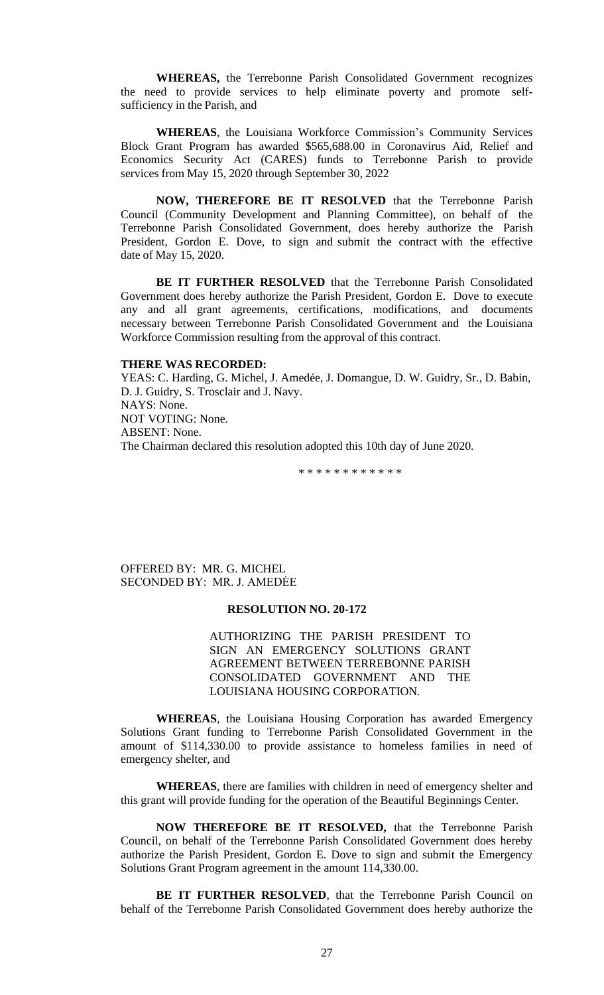**WHEREAS,** the Terrebonne Parish Consolidated Government recognizes the need to provide services to help eliminate poverty and promote selfsufficiency in the Parish, and

**WHEREAS**, the Louisiana Workforce Commission's Community Services Block Grant Program has awarded \$565,688.00 in Coronavirus Aid, Relief and Economics Security Act (CARES) funds to Terrebonne Parish to provide services from May 15, 2020 through September 30, 2022

**NOW, THEREFORE BE IT RESOLVED** that the Terrebonne Parish Council (Community Development and Planning Committee), on behalf of the Terrebonne Parish Consolidated Government, does hereby authorize the Parish President, Gordon E. Dove, to sign and submit the contract with the effective date of May 15, 2020.

**BE IT FURTHER RESOLVED** that the Terrebonne Parish Consolidated Government does hereby authorize the Parish President, Gordon E. Dove to execute any and all grant agreements, certifications, modifications, and documents necessary between Terrebonne Parish Consolidated Government and the Louisiana Workforce Commission resulting from the approval of this contract.

#### **THERE WAS RECORDED:**

YEAS: C. Harding, G. Michel, J. Amedée, J. Domangue, D. W. Guidry, Sr., D. Babin, D. J. Guidry, S. Trosclair and J. Navy. NAYS: None. NOT VOTING: None. ABSENT: None. The Chairman declared this resolution adopted this 10th day of June 2020.

\* \* \* \* \* \* \* \* \* \* \* \*

OFFERED BY: MR. G. MICHEL SECONDED BY: MR. J. AMEDĖE

## **RESOLUTION NO. 20-172**

AUTHORIZING THE PARISH PRESIDENT TO SIGN AN EMERGENCY SOLUTIONS GRANT AGREEMENT BETWEEN TERREBONNE PARISH CONSOLIDATED GOVERNMENT AND THE LOUISIANA HOUSING CORPORATION.

**WHEREAS**, the Louisiana Housing Corporation has awarded Emergency Solutions Grant funding to Terrebonne Parish Consolidated Government in the amount of \$114,330.00 to provide assistance to homeless families in need of emergency shelter, and

**WHEREAS**, there are families with children in need of emergency shelter and this grant will provide funding for the operation of the Beautiful Beginnings Center.

**NOW THEREFORE BE IT RESOLVED,** that the Terrebonne Parish Council, on behalf of the Terrebonne Parish Consolidated Government does hereby authorize the Parish President, Gordon E. Dove to sign and submit the Emergency Solutions Grant Program agreement in the amount 114,330.00.

**BE IT FURTHER RESOLVED**, that the Terrebonne Parish Council on behalf of the Terrebonne Parish Consolidated Government does hereby authorize the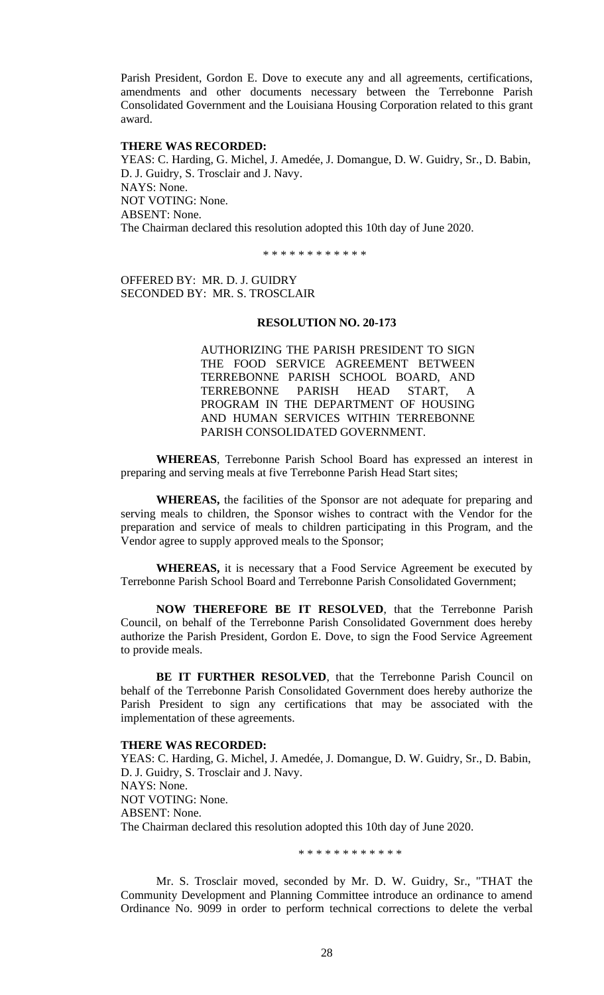Parish President, Gordon E. Dove to execute any and all agreements, certifications, amendments and other documents necessary between the Terrebonne Parish Consolidated Government and the Louisiana Housing Corporation related to this grant award.

## **THERE WAS RECORDED:**

YEAS: C. Harding, G. Michel, J. Amedée, J. Domangue, D. W. Guidry, Sr., D. Babin, D. J. Guidry, S. Trosclair and J. Navy. NAYS: None. NOT VOTING: None. ABSENT: None. The Chairman declared this resolution adopted this 10th day of June 2020.

\* \* \* \* \* \* \* \* \* \* \* \*

OFFERED BY: MR. D. J. GUIDRY SECONDED BY: MR. S. TROSCLAIR

## **RESOLUTION NO. 20-173**

AUTHORIZING THE PARISH PRESIDENT TO SIGN THE FOOD SERVICE AGREEMENT BETWEEN TERREBONNE PARISH SCHOOL BOARD, AND TERREBONNE PARISH HEAD START, A PROGRAM IN THE DEPARTMENT OF HOUSING AND HUMAN SERVICES WITHIN TERREBONNE PARISH CONSOLIDATED GOVERNMENT.

**WHEREAS**, Terrebonne Parish School Board has expressed an interest in preparing and serving meals at five Terrebonne Parish Head Start sites;

**WHEREAS,** the facilities of the Sponsor are not adequate for preparing and serving meals to children, the Sponsor wishes to contract with the Vendor for the preparation and service of meals to children participating in this Program, and the Vendor agree to supply approved meals to the Sponsor;

**WHEREAS,** it is necessary that a Food Service Agreement be executed by Terrebonne Parish School Board and Terrebonne Parish Consolidated Government;

**NOW THEREFORE BE IT RESOLVED**, that the Terrebonne Parish Council, on behalf of the Terrebonne Parish Consolidated Government does hereby authorize the Parish President, Gordon E. Dove, to sign the Food Service Agreement to provide meals.

**BE IT FURTHER RESOLVED**, that the Terrebonne Parish Council on behalf of the Terrebonne Parish Consolidated Government does hereby authorize the Parish President to sign any certifications that may be associated with the implementation of these agreements.

#### **THERE WAS RECORDED:**

YEAS: C. Harding, G. Michel, J. Amedée, J. Domangue, D. W. Guidry, Sr., D. Babin, D. J. Guidry, S. Trosclair and J. Navy. NAYS: None. NOT VOTING: None. ABSENT: None. The Chairman declared this resolution adopted this 10th day of June 2020.

\* \* \* \* \* \* \* \* \* \* \* \*

Mr. S. Trosclair moved, seconded by Mr. D. W. Guidry, Sr., "THAT the Community Development and Planning Committee introduce an ordinance to amend Ordinance No. 9099 in order to perform technical corrections to delete the verbal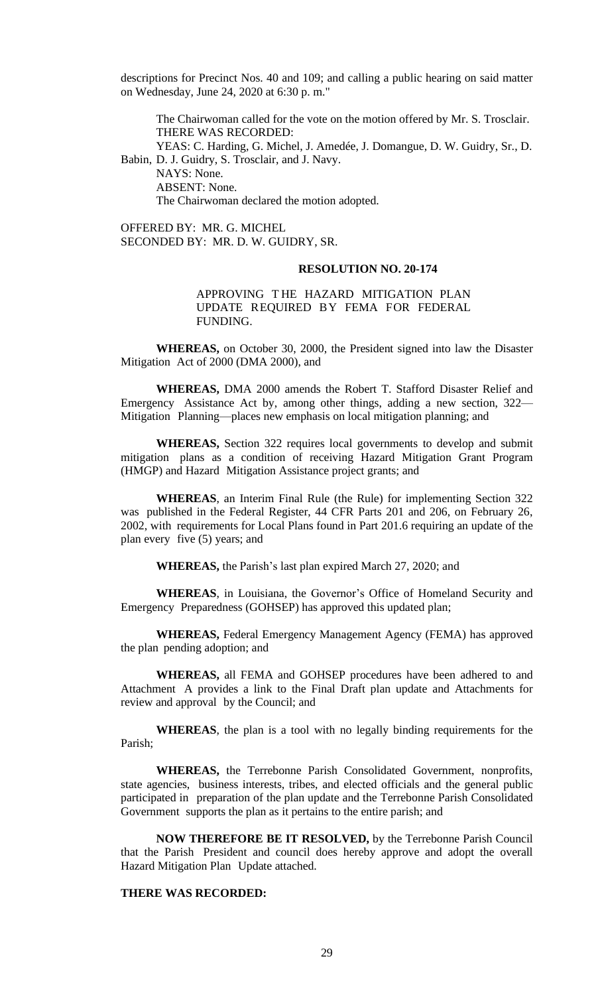descriptions for Precinct Nos. 40 and 109; and calling a public hearing on said matter on Wednesday, June 24, 2020 at 6:30 p. m."

The Chairwoman called for the vote on the motion offered by Mr. S. Trosclair. THERE WAS RECORDED:

YEAS: C. Harding, G. Michel, J. Amedée, J. Domangue, D. W. Guidry, Sr., D. Babin, D. J. Guidry, S. Trosclair, and J. Navy.

NAYS: None. ABSENT: None.

The Chairwoman declared the motion adopted.

OFFERED BY: MR. G. MICHEL SECONDED BY: MR. D. W. GUIDRY, SR.

### **RESOLUTION NO. 20-174**

## APPROVING T HE HAZARD MITIGATION PLAN UPDATE REQUIRED BY FEMA FOR FEDERAL FUNDING.

**WHEREAS,** on October 30, 2000, the President signed into law the Disaster Mitigation Act of 2000 (DMA 2000), and

**WHEREAS,** DMA 2000 amends the Robert T. Stafford Disaster Relief and Emergency Assistance Act by, among other things, adding a new section, 322— Mitigation Planning—places new emphasis on local mitigation planning; and

**WHEREAS,** Section 322 requires local governments to develop and submit mitigation plans as a condition of receiving Hazard Mitigation Grant Program (HMGP) and Hazard Mitigation Assistance project grants; and

**WHEREAS**, an Interim Final Rule (the Rule) for implementing Section 322 was published in the Federal Register, 44 CFR Parts 201 and 206, on February 26, 2002, with requirements for Local Plans found in Part 201.6 requiring an update of the plan every five (5) years; and

**WHEREAS,** the Parish's last plan expired March 27, 2020; and

**WHEREAS**, in Louisiana, the Governor's Office of Homeland Security and Emergency Preparedness (GOHSEP) has approved this updated plan;

**WHEREAS,** Federal Emergency Management Agency (FEMA) has approved the plan pending adoption; and

**WHEREAS,** all FEMA and GOHSEP procedures have been adhered to and Attachment A provides a link to the Final Draft plan update and Attachments for review and approval by the Council; and

**WHEREAS**, the plan is a tool with no legally binding requirements for the Parish;

**WHEREAS,** the Terrebonne Parish Consolidated Government, nonprofits, state agencies, business interests, tribes, and elected officials and the general public participated in preparation of the plan update and the Terrebonne Parish Consolidated Government supports the plan as it pertains to the entire parish; and

**NOW THEREFORE BE IT RESOLVED,** by the Terrebonne Parish Council that the Parish President and council does hereby approve and adopt the overall Hazard Mitigation Plan Update attached.

# **THERE WAS RECORDED:**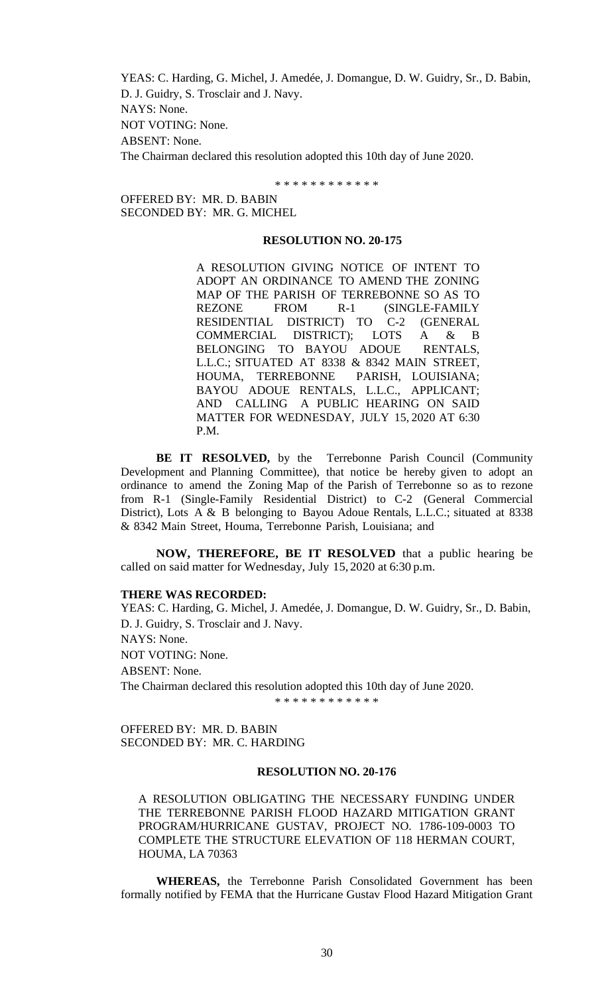YEAS: C. Harding, G. Michel, J. Amedée, J. Domangue, D. W. Guidry, Sr., D. Babin, D. J. Guidry, S. Trosclair and J. Navy. NAYS: None. NOT VOTING: None. ABSENT: None. The Chairman declared this resolution adopted this 10th day of June 2020.

\* \* \* \* \* \* \* \* \* \* \* \*

OFFERED BY: MR. D. BABIN SECONDED BY: MR. G. MICHEL

## **RESOLUTION NO. 20-175**

A RESOLUTION GIVING NOTICE OF INTENT TO ADOPT AN ORDINANCE TO AMEND THE ZONING MAP OF THE PARISH OF TERREBONNE SO AS TO REZONE FROM R-1 (SINGLE-FAMILY RESIDENTIAL DISTRICT) TO C-2 (GENERAL COMMERCIAL DISTRICT); LOTS A & B BELONGING TO BAYOU ADOUE RENTALS, L.L.C.; SITUATED AT 8338 & 8342 MAIN STREET,<br>HOUMA, TERREBONNE PARISH, LOUISIANA; HOUMA, TERREBONNE BAYOU ADOUE RENTALS, L.L.C., APPLICANT; AND CALLING A PUBLIC HEARING ON SAID MATTER FOR WEDNESDAY, JULY 15, 2020 AT 6:30 P.M.

**BE IT RESOLVED,** by the Terrebonne Parish Council (Community Development and Planning Committee), that notice be hereby given to adopt an ordinance to amend the Zoning Map of the Parish of Terrebonne so as to rezone from R-1 (Single-Family Residential District) to C-2 (General Commercial District), Lots A & B belonging to Bayou Adoue Rentals, L.L.C.; situated at 8338 & 8342 Main Street, Houma, Terrebonne Parish, Louisiana; and

**NOW, THEREFORE, BE IT RESOLVED** that a public hearing be called on said matter for Wednesday, July 15, 2020 at 6:30 p.m.

### **THERE WAS RECORDED:**

YEAS: C. Harding, G. Michel, J. Amedée, J. Domangue, D. W. Guidry, Sr., D. Babin, D. J. Guidry, S. Trosclair and J. Navy. NAYS: None. NOT VOTING: None. ABSENT: None. The Chairman declared this resolution adopted this 10th day of June 2020.

\* \* \* \* \* \* \* \* \* \* \*

OFFERED BY: MR. D. BABIN SECONDED BY: MR. C. HARDING

### **RESOLUTION NO. 20-176**

A RESOLUTION OBLIGATING THE NECESSARY FUNDING UNDER THE TERREBONNE PARISH FLOOD HAZARD MITIGATION GRANT PROGRAM/HURRICANE GUSTAV, PROJECT NO. 1786-109-0003 TO COMPLETE THE STRUCTURE ELEVATION OF 118 HERMAN COURT, HOUMA, LA 70363

**WHEREAS,** the Terrebonne Parish Consolidated Government has been formally notified by FEMA that the Hurricane Gustav Flood Hazard Mitigation Grant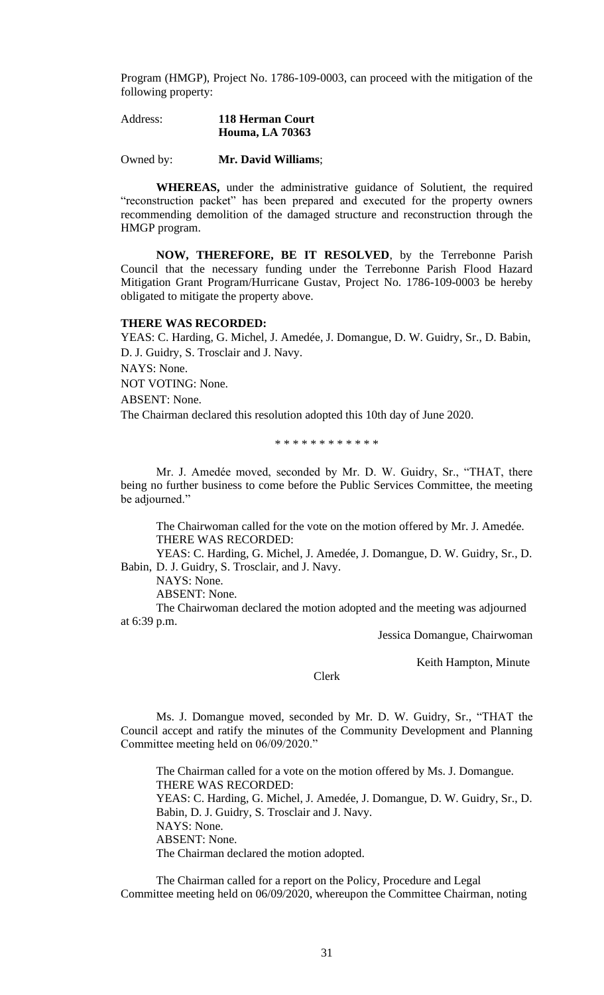Program (HMGP), Project No. 1786-109-0003, can proceed with the mitigation of the following property:

| Address: | 118 Herman Court       |
|----------|------------------------|
|          | <b>Houma, LA 70363</b> |

Owned by: **Mr. David Williams**;

**WHEREAS,** under the administrative guidance of Solutient, the required "reconstruction packet" has been prepared and executed for the property owners recommending demolition of the damaged structure and reconstruction through the HMGP program.

**NOW, THEREFORE, BE IT RESOLVED**, by the Terrebonne Parish Council that the necessary funding under the Terrebonne Parish Flood Hazard Mitigation Grant Program/Hurricane Gustav, Project No. 1786-109-0003 be hereby obligated to mitigate the property above.

## **THERE WAS RECORDED:**

YEAS: C. Harding, G. Michel, J. Amedée, J. Domangue, D. W. Guidry, Sr., D. Babin, D. J. Guidry, S. Trosclair and J. Navy. NAYS: None. NOT VOTING: None. ABSENT: None. The Chairman declared this resolution adopted this 10th day of June 2020.

\* \* \* \* \* \* \* \* \* \* \* \*

Mr. J. Amedée moved, seconded by Mr. D. W. Guidry, Sr., "THAT, there being no further business to come before the Public Services Committee, the meeting be adjourned."

The Chairwoman called for the vote on the motion offered by Mr. J. Amedée. THERE WAS RECORDED:

YEAS: C. Harding, G. Michel, J. Amedée, J. Domangue, D. W. Guidry, Sr., D. Babin, D. J. Guidry, S. Trosclair, and J. Navy.

NAYS: None.

ABSENT: None.

The Chairwoman declared the motion adopted and the meeting was adjourned at 6:39 p.m.

Jessica Domangue, Chairwoman

Keith Hampton, Minute

Clerk

Ms. J. Domangue moved, seconded by Mr. D. W. Guidry, Sr., "THAT the Council accept and ratify the minutes of the Community Development and Planning Committee meeting held on 06/09/2020."

The Chairman called for a vote on the motion offered by Ms. J. Domangue. THERE WAS RECORDED: YEAS: C. Harding, G. Michel, J. Amedée, J. Domangue, D. W. Guidry, Sr., D. Babin, D. J. Guidry, S. Trosclair and J. Navy. NAYS: None. ABSENT: None. The Chairman declared the motion adopted.

The Chairman called for a report on the Policy, Procedure and Legal Committee meeting held on 06/09/2020, whereupon the Committee Chairman, noting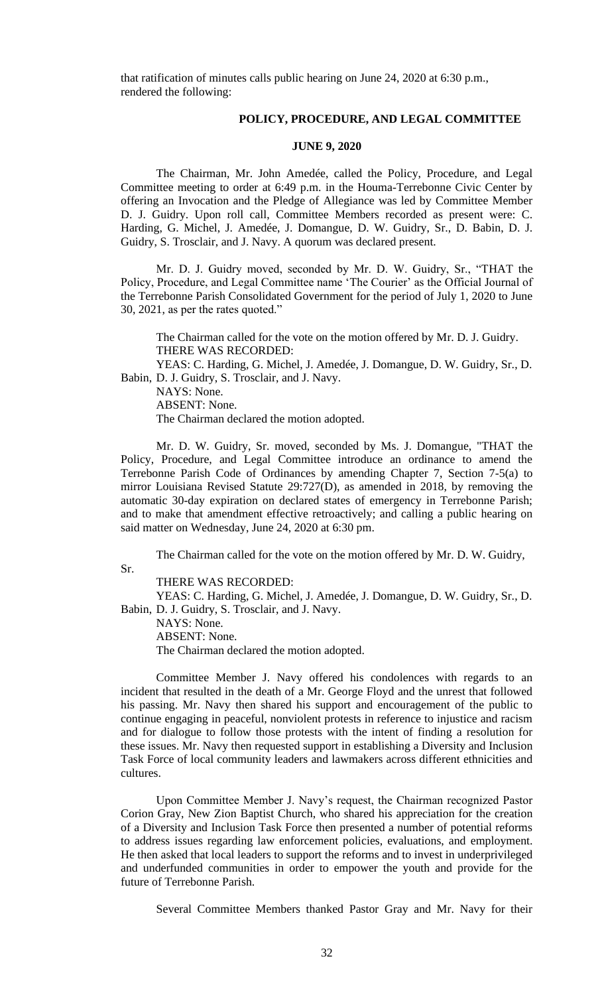that ratification of minutes calls public hearing on June 24, 2020 at 6:30 p.m., rendered the following:

## **POLICY, PROCEDURE, AND LEGAL COMMITTEE**

## **JUNE 9, 2020**

The Chairman, Mr. John Amedée, called the Policy, Procedure, and Legal Committee meeting to order at 6:49 p.m. in the Houma-Terrebonne Civic Center by offering an Invocation and the Pledge of Allegiance was led by Committee Member D. J. Guidry. Upon roll call, Committee Members recorded as present were: C. Harding, G. Michel, J. Amedée, J. Domangue, D. W. Guidry, Sr., D. Babin, D. J. Guidry, S. Trosclair, and J. Navy. A quorum was declared present.

Mr. D. J. Guidry moved, seconded by Mr. D. W. Guidry, Sr., "THAT the Policy, Procedure, and Legal Committee name 'The Courier' as the Official Journal of the Terrebonne Parish Consolidated Government for the period of July 1, 2020 to June 30, 2021, as per the rates quoted."

The Chairman called for the vote on the motion offered by Mr. D. J. Guidry. THERE WAS RECORDED:

YEAS: C. Harding, G. Michel, J. Amedée, J. Domangue, D. W. Guidry, Sr., D. Babin, D. J. Guidry, S. Trosclair, and J. Navy.

NAYS: None.

Sr.

ABSENT: None.

The Chairman declared the motion adopted.

Mr. D. W. Guidry, Sr. moved, seconded by Ms. J. Domangue, "THAT the Policy, Procedure, and Legal Committee introduce an ordinance to amend the Terrebonne Parish Code of Ordinances by amending Chapter 7, Section 7-5(a) to mirror Louisiana Revised Statute 29:727(D), as amended in 2018, by removing the automatic 30-day expiration on declared states of emergency in Terrebonne Parish; and to make that amendment effective retroactively; and calling a public hearing on said matter on Wednesday, June 24, 2020 at 6:30 pm.

The Chairman called for the vote on the motion offered by Mr. D. W. Guidry,

THERE WAS RECORDED:

YEAS: C. Harding, G. Michel, J. Amedée, J. Domangue, D. W. Guidry, Sr., D. Babin, D. J. Guidry, S. Trosclair, and J. Navy.

NAYS: None. ABSENT: None. The Chairman declared the motion adopted.

Committee Member J. Navy offered his condolences with regards to an incident that resulted in the death of a Mr. George Floyd and the unrest that followed his passing. Mr. Navy then shared his support and encouragement of the public to continue engaging in peaceful, nonviolent protests in reference to injustice and racism and for dialogue to follow those protests with the intent of finding a resolution for these issues. Mr. Navy then requested support in establishing a Diversity and Inclusion Task Force of local community leaders and lawmakers across different ethnicities and cultures.

Upon Committee Member J. Navy's request, the Chairman recognized Pastor Corion Gray, New Zion Baptist Church, who shared his appreciation for the creation of a Diversity and Inclusion Task Force then presented a number of potential reforms to address issues regarding law enforcement policies, evaluations, and employment. He then asked that local leaders to support the reforms and to invest in underprivileged and underfunded communities in order to empower the youth and provide for the future of Terrebonne Parish.

Several Committee Members thanked Pastor Gray and Mr. Navy for their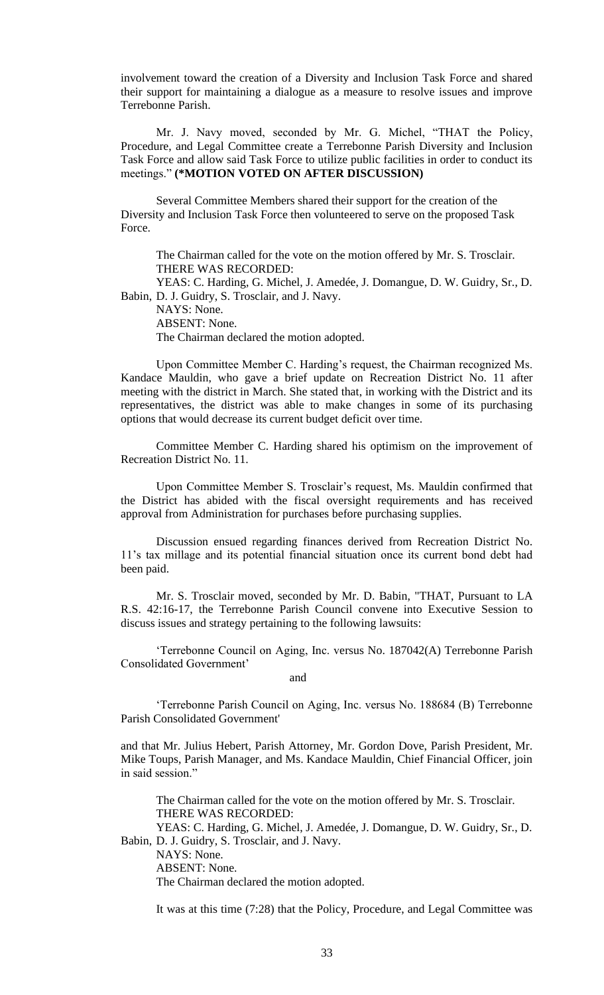involvement toward the creation of a Diversity and Inclusion Task Force and shared their support for maintaining a dialogue as a measure to resolve issues and improve Terrebonne Parish.

Mr. J. Navy moved, seconded by Mr. G. Michel, "THAT the Policy, Procedure, and Legal Committee create a Terrebonne Parish Diversity and Inclusion Task Force and allow said Task Force to utilize public facilities in order to conduct its meetings." **(\*MOTION VOTED ON AFTER DISCUSSION)**

Several Committee Members shared their support for the creation of the Diversity and Inclusion Task Force then volunteered to serve on the proposed Task Force.

The Chairman called for the vote on the motion offered by Mr. S. Trosclair. THERE WAS RECORDED:

YEAS: C. Harding, G. Michel, J. Amedée, J. Domangue, D. W. Guidry, Sr., D. Babin, D. J. Guidry, S. Trosclair, and J. Navy.

NAYS: None. ABSENT: None.

The Chairman declared the motion adopted.

Upon Committee Member C. Harding's request, the Chairman recognized Ms. Kandace Mauldin, who gave a brief update on Recreation District No. 11 after meeting with the district in March. She stated that, in working with the District and its representatives, the district was able to make changes in some of its purchasing options that would decrease its current budget deficit over time.

Committee Member C. Harding shared his optimism on the improvement of Recreation District No. 11.

Upon Committee Member S. Trosclair's request, Ms. Mauldin confirmed that the District has abided with the fiscal oversight requirements and has received approval from Administration for purchases before purchasing supplies.

Discussion ensued regarding finances derived from Recreation District No. 11's tax millage and its potential financial situation once its current bond debt had been paid.

Mr. S. Trosclair moved, seconded by Mr. D. Babin, "THAT, Pursuant to LA R.S. 42:16-17, the Terrebonne Parish Council convene into Executive Session to discuss issues and strategy pertaining to the following lawsuits:

'Terrebonne Council on Aging, Inc. versus No. 187042(A) Terrebonne Parish Consolidated Government'

and and state and state and state and state and state and state and state and state and state and state and state and state and state and state and state and state and state and state and state and state and state and stat

'Terrebonne Parish Council on Aging, Inc. versus No. 188684 (B) Terrebonne Parish Consolidated Government'

and that Mr. Julius Hebert, Parish Attorney, Mr. Gordon Dove, Parish President, Mr. Mike Toups, Parish Manager, and Ms. Kandace Mauldin, Chief Financial Officer, join in said session."

The Chairman called for the vote on the motion offered by Mr. S. Trosclair. THERE WAS RECORDED:

YEAS: C. Harding, G. Michel, J. Amedée, J. Domangue, D. W. Guidry, Sr., D. Babin, D. J. Guidry, S. Trosclair, and J. Navy.

NAYS: None.

ABSENT: None.

The Chairman declared the motion adopted.

It was at this time (7:28) that the Policy, Procedure, and Legal Committee was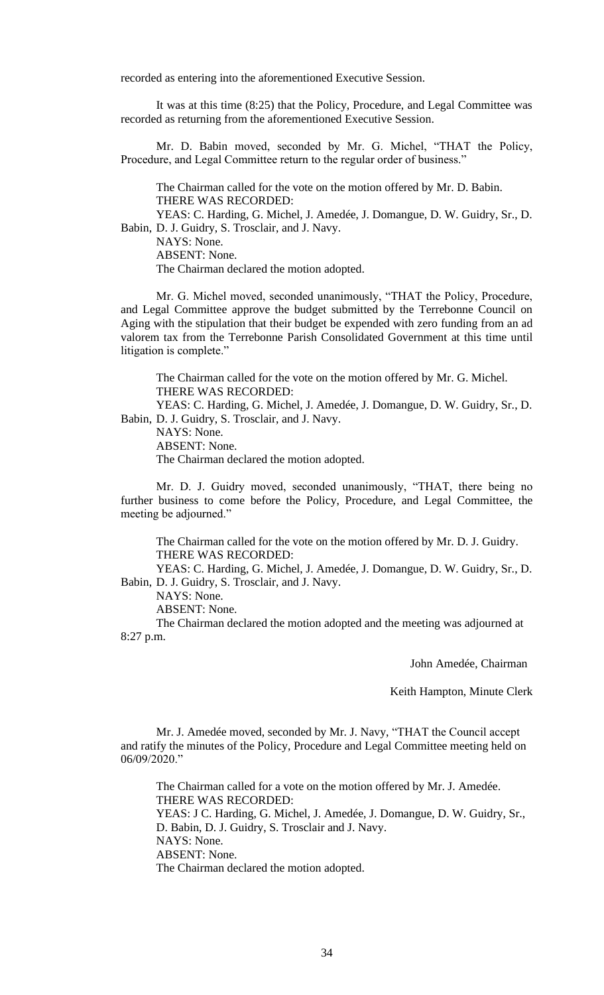recorded as entering into the aforementioned Executive Session.

It was at this time (8:25) that the Policy, Procedure, and Legal Committee was recorded as returning from the aforementioned Executive Session.

Mr. D. Babin moved, seconded by Mr. G. Michel, "THAT the Policy, Procedure, and Legal Committee return to the regular order of business."

The Chairman called for the vote on the motion offered by Mr. D. Babin. THERE WAS RECORDED:

YEAS: C. Harding, G. Michel, J. Amedée, J. Domangue, D. W. Guidry, Sr., D. Babin, D. J. Guidry, S. Trosclair, and J. Navy.

NAYS: None.

ABSENT: None.

The Chairman declared the motion adopted.

Mr. G. Michel moved, seconded unanimously, "THAT the Policy, Procedure, and Legal Committee approve the budget submitted by the Terrebonne Council on Aging with the stipulation that their budget be expended with zero funding from an ad valorem tax from the Terrebonne Parish Consolidated Government at this time until litigation is complete."

The Chairman called for the vote on the motion offered by Mr. G. Michel. THERE WAS RECORDED:

YEAS: C. Harding, G. Michel, J. Amedée, J. Domangue, D. W. Guidry, Sr., D. Babin, D. J. Guidry, S. Trosclair, and J. Navy.

NAYS: None.

ABSENT: None.

The Chairman declared the motion adopted.

Mr. D. J. Guidry moved, seconded unanimously, "THAT, there being no further business to come before the Policy, Procedure, and Legal Committee, the meeting be adjourned."

The Chairman called for the vote on the motion offered by Mr. D. J. Guidry. THERE WAS RECORDED:

YEAS: C. Harding, G. Michel, J. Amedée, J. Domangue, D. W. Guidry, Sr., D. Babin, D. J. Guidry, S. Trosclair, and J. Navy.

NAYS: None.

ABSENT: None.

The Chairman declared the motion adopted and the meeting was adjourned at 8:27 p.m.

John Amedée, Chairman

Keith Hampton, Minute Clerk

Mr. J. Amedée moved, seconded by Mr. J. Navy, "THAT the Council accept and ratify the minutes of the Policy, Procedure and Legal Committee meeting held on 06/09/2020."

The Chairman called for a vote on the motion offered by Mr. J. Amedée. THERE WAS RECORDED: YEAS: J C. Harding, G. Michel, J. Amedée, J. Domangue, D. W. Guidry, Sr., D. Babin, D. J. Guidry, S. Trosclair and J. Navy. NAYS: None. ABSENT: None.

The Chairman declared the motion adopted.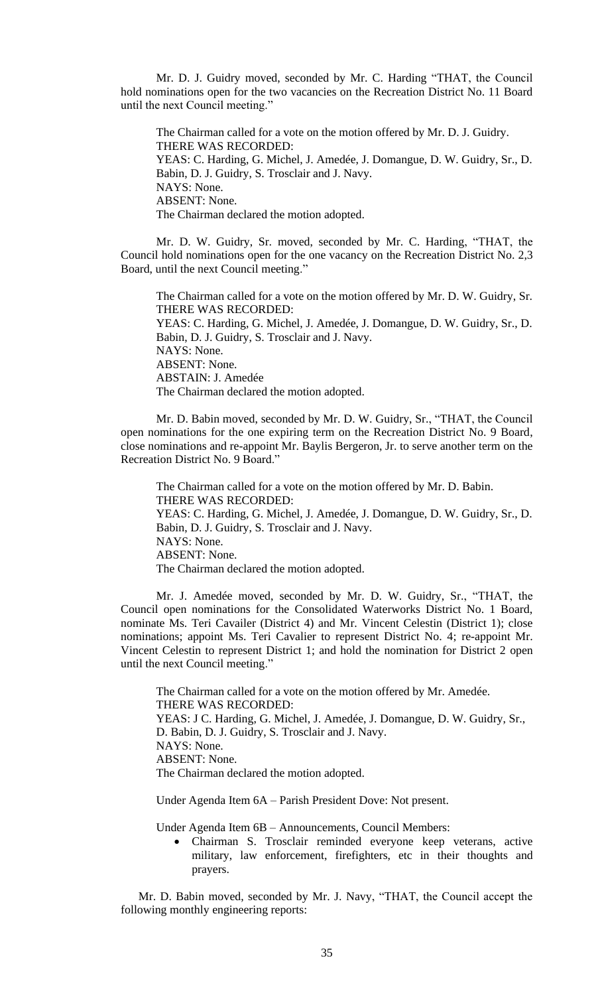Mr. D. J. Guidry moved, seconded by Mr. C. Harding "THAT, the Council hold nominations open for the two vacancies on the Recreation District No. 11 Board until the next Council meeting."

The Chairman called for a vote on the motion offered by Mr. D. J. Guidry. THERE WAS RECORDED: YEAS: C. Harding, G. Michel, J. Amedée, J. Domangue, D. W. Guidry, Sr., D. Babin, D. J. Guidry, S. Trosclair and J. Navy. NAYS: None. ABSENT: None. The Chairman declared the motion adopted.

Mr. D. W. Guidry, Sr. moved, seconded by Mr. C. Harding, "THAT, the Council hold nominations open for the one vacancy on the Recreation District No. 2,3 Board, until the next Council meeting."

The Chairman called for a vote on the motion offered by Mr. D. W. Guidry, Sr. THERE WAS RECORDED: YEAS: C. Harding, G. Michel, J. Amedée, J. Domangue, D. W. Guidry, Sr., D. Babin, D. J. Guidry, S. Trosclair and J. Navy. NAYS: None. ABSENT: None. ABSTAIN: J. Amedée The Chairman declared the motion adopted.

Mr. D. Babin moved, seconded by Mr. D. W. Guidry, Sr., "THAT, the Council open nominations for the one expiring term on the Recreation District No. 9 Board, close nominations and re-appoint Mr. Baylis Bergeron, Jr. to serve another term on the Recreation District No. 9 Board."

The Chairman called for a vote on the motion offered by Mr. D. Babin. THERE WAS RECORDED: YEAS: C. Harding, G. Michel, J. Amedée, J. Domangue, D. W. Guidry, Sr., D. Babin, D. J. Guidry, S. Trosclair and J. Navy. NAYS: None. ABSENT: None. The Chairman declared the motion adopted.

Mr. J. Amedée moved, seconded by Mr. D. W. Guidry, Sr., "THAT, the Council open nominations for the Consolidated Waterworks District No. 1 Board, nominate Ms. Teri Cavailer (District 4) and Mr. Vincent Celestin (District 1); close nominations; appoint Ms. Teri Cavalier to represent District No. 4; re-appoint Mr. Vincent Celestin to represent District 1; and hold the nomination for District 2 open until the next Council meeting."

The Chairman called for a vote on the motion offered by Mr. Amedée. THERE WAS RECORDED: YEAS: J C. Harding, G. Michel, J. Amedée, J. Domangue, D. W. Guidry, Sr., D. Babin, D. J. Guidry, S. Trosclair and J. Navy. NAYS: None. ABSENT: None. The Chairman declared the motion adopted.

Under Agenda Item 6A – Parish President Dove: Not present.

Under Agenda Item 6B – Announcements, Council Members:

• Chairman S. Trosclair reminded everyone keep veterans, active military, law enforcement, firefighters, etc in their thoughts and prayers.

Mr. D. Babin moved, seconded by Mr. J. Navy, "THAT, the Council accept the following monthly engineering reports: